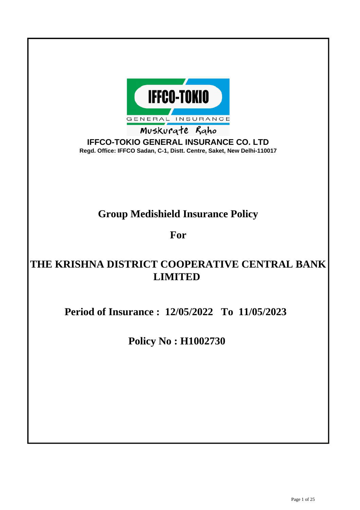

**IFFCO-TOKIO GENERAL INSURANCE CO. LTD Regd. Office: IFFCO Sadan, C-1, Distt. Centre, Saket, New Delhi-110017**

# **Group Medishield Insurance Policy**

**For**

# **THE KRISHNA DISTRICT COOPERATIVE CENTRAL BANK LIMITED**

**Period of Insurance : 12/05/2022 To 11/05/2023**

**Policy No : H1002730**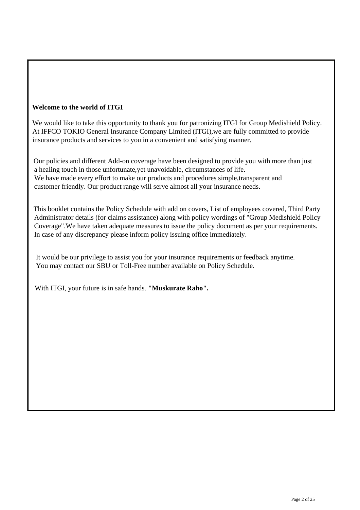# **Welcome to the world of ITGI**

 We would like to take this opportunity to thank you for patronizing ITGI for Group Medishield Policy. At IFFCO TOKIO General Insurance Company Limited (ITGI),we are fully committed to provide insurance products and services to you in a convenient and satisfying manner.

 Our policies and different Add-on coverage have been designed to provide you with more than just a healing touch in those unfortunate,yet unavoidable, circumstances of life. We have made every effort to make our products and procedures simple,transparent and customer friendly. Our product range will serve almost all your insurance needs.

 This booklet contains the Policy Schedule with add on covers, List of employees covered, Third Party Administrator details (for claims assistance) along with policy wordings of "Group Medishield Policy Coverage".We have taken adequate measures to issue the policy document as per your requirements. In case of any discrepancy please inform policy issuing office immediately.

 It would be our privilege to assist you for your insurance requirements or feedback anytime. You may contact our SBU or Toll-Free number available on Policy Schedule.

With ITGI, your future is in safe hands. **"Muskurate Raho".**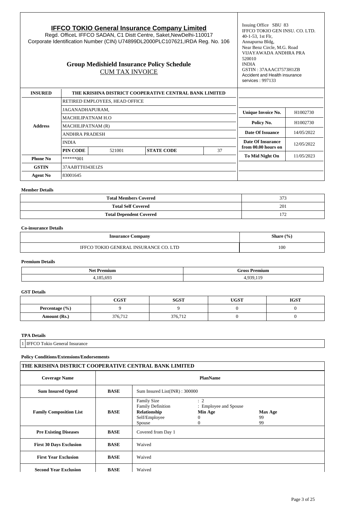| <b>IFFCO TOKIO General Insurance Company Limited</b><br>Regd. OfficeL IFFCO SADAN, C1 Distt Centre, Saket, New Delhi-110017<br>Corporate Identification Number (CIN) U74899DL2000PLC107621, IRDA Reg. No. 106<br><b>Group Medishield Insurance Policy Schedule</b><br><b>CUM TAX INVOICE</b> |                                                       |        |                        |            | Issuing Office SBU 83<br>IFFCO TOKIO GEN INSU. CO. LTD.<br>40-1-53, 1st Flr.<br>Annapurna Bldg,<br>Near Benz Circle, M.G. Road<br>VIJAYAWADA ANDHRA PRA<br>520010<br><b>INDIA</b><br>GSTIN: 37AAACI7573H1ZB<br>Accident and Health insurance<br>services: 997133 |            |
|----------------------------------------------------------------------------------------------------------------------------------------------------------------------------------------------------------------------------------------------------------------------------------------------|-------------------------------------------------------|--------|------------------------|------------|------------------------------------------------------------------------------------------------------------------------------------------------------------------------------------------------------------------------------------------------------------------|------------|
| <b>INSURED</b>                                                                                                                                                                                                                                                                               | THE KRISHNA DISTRICT COOPERATIVE CENTRAL BANK LIMITED |        |                        |            |                                                                                                                                                                                                                                                                  |            |
|                                                                                                                                                                                                                                                                                              | RETIRED EMPLOYEES, HEAD OFFICE                        |        |                        |            |                                                                                                                                                                                                                                                                  |            |
|                                                                                                                                                                                                                                                                                              | JAGANADHAPURAM.                                       |        |                        |            | <b>Unique Invoice No.</b>                                                                                                                                                                                                                                        | H1002730   |
|                                                                                                                                                                                                                                                                                              | MACHILIPATNAM H.O                                     |        |                        |            | Policy No.                                                                                                                                                                                                                                                       | H1002730   |
| <b>Address</b>                                                                                                                                                                                                                                                                               | MACHILIPATNAM (R)                                     |        |                        |            |                                                                                                                                                                                                                                                                  |            |
|                                                                                                                                                                                                                                                                                              | <b>ANDHRA PRADESH</b>                                 |        | Date Of Issuance       | 14/05/2022 |                                                                                                                                                                                                                                                                  |            |
|                                                                                                                                                                                                                                                                                              | <b>INDIA</b>                                          |        |                        |            | Date Of Insurance                                                                                                                                                                                                                                                | 12/05/2022 |
|                                                                                                                                                                                                                                                                                              | PIN CODE                                              | 521001 | <b>STATE CODE</b>      | 37         | from 00.00 hours on                                                                                                                                                                                                                                              |            |
| ******001<br><b>Phone No</b>                                                                                                                                                                                                                                                                 |                                                       |        | <b>To Mid Night On</b> | 11/05/2023 |                                                                                                                                                                                                                                                                  |            |
| <b>GSTIN</b>                                                                                                                                                                                                                                                                                 | 37AABTT0343E1ZS                                       |        |                        |            |                                                                                                                                                                                                                                                                  |            |
| <b>Agent No</b>                                                                                                                                                                                                                                                                              | 83001645                                              |        |                        |            |                                                                                                                                                                                                                                                                  |            |

# **Member Details**

 $\overline{1}$ 

| <b>Total Members Covered</b>   | 373          |
|--------------------------------|--------------|
| <b>Total Self Covered</b>      | 201          |
| <b>Total Dependent Covered</b> | $1 - l$<br>. |

# **Co-insurance Details**

| <b>Insurance Company</b>                      | Share $(\% )$ |
|-----------------------------------------------|---------------|
| <b>LTD</b><br><b>GENERAL INSURANCE</b><br>'Nk | 100           |

# **Premium Details**

|                 | $"$ mond |  |
|-----------------|----------|--|
| ∼י              | ш        |  |
|                 |          |  |
| $\sim$<br>o<br> | --       |  |

# **GST Details**

|                | $_{\rm CGST}$ | SGST    | <b>UGST</b> | <b>IGST</b> |
|----------------|---------------|---------|-------------|-------------|
| Percentage (%) |               |         |             |             |
| Amount (Rs.)   | 376.712       | 376,712 |             |             |

# **TPA Details**

1 | IFFCO Tokio General Insurance

# **Policy Conditions/Extensions/Endorsements**

| THE KRISHNA DISTRICT COOPERATIVE CENTRAL BANK LIMITED |                 |                                                                                           |                                                                     |                            |  |
|-------------------------------------------------------|-----------------|-------------------------------------------------------------------------------------------|---------------------------------------------------------------------|----------------------------|--|
| <b>Coverage Name</b>                                  | <b>PlanName</b> |                                                                                           |                                                                     |                            |  |
| <b>Sum Insured Opted</b>                              | <b>BASE</b>     | Sum Insured List(INR): 300000                                                             |                                                                     |                            |  |
| <b>Family Composition List</b>                        | <b>BASE</b>     | <b>Family Size</b><br><b>Family Definition</b><br>Relationship<br>Self/Employee<br>Spouse | $\therefore$ 2<br>: Employee and Spouse<br>Min Age<br>$\Omega$<br>0 | <b>Max Age</b><br>99<br>99 |  |
| <b>Pre Existing Diseases</b>                          | <b>BASE</b>     | Covered from Day 1                                                                        |                                                                     |                            |  |
| <b>First 30 Days Exclusion</b>                        | <b>BASE</b>     | Waived                                                                                    |                                                                     |                            |  |
| <b>First Year Exclusion</b>                           | <b>BASE</b>     | Waived                                                                                    |                                                                     |                            |  |
| <b>Second Year Exclusion</b>                          | <b>BASE</b>     | Waived                                                                                    |                                                                     |                            |  |

ı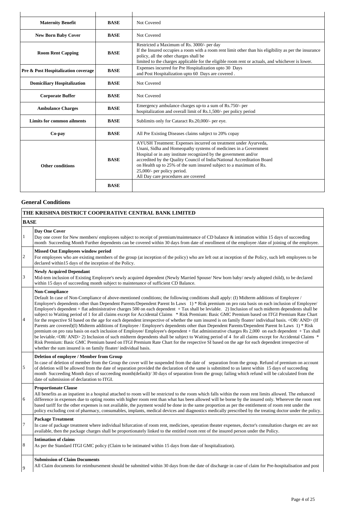| <b>Maternity Benefit</b>                | <b>BASE</b> | Not Covered                                                                                                                                                                                                                                                                                                                                                                                                                    |
|-----------------------------------------|-------------|--------------------------------------------------------------------------------------------------------------------------------------------------------------------------------------------------------------------------------------------------------------------------------------------------------------------------------------------------------------------------------------------------------------------------------|
| <b>New Born Baby Cover</b>              | <b>BASE</b> | Not Covered                                                                                                                                                                                                                                                                                                                                                                                                                    |
| <b>Room Rent Capping</b><br><b>BASE</b> |             | Restricted a Maximum of Rs. 3000/- per day<br>If the Insured occupies a room with a room rent limit other than his eligibility as per the insurance<br>policy, all the other charges shall be<br>limited to the charges applicable for the eligible room rent or actuals, and whichever is lower.                                                                                                                              |
| Pre & Post Hospitalization coverage     | <b>BASE</b> | Expenses incurred for Pre Hospitalization upto 30 Days<br>and Post Hospitalization upto 60 Days are covered.                                                                                                                                                                                                                                                                                                                   |
| <b>Domiciliary Hospitalization</b>      | <b>BASE</b> | Not Covered                                                                                                                                                                                                                                                                                                                                                                                                                    |
| <b>Corporate Buffer</b>                 | <b>BASE</b> | Not Covered                                                                                                                                                                                                                                                                                                                                                                                                                    |
| <b>Ambulance Charges</b>                | <b>BASE</b> | Emergency ambulance charges up-to a sum of Rs.750/- per<br>hospitalization and overall limit of Rs.1,500/- per policy period                                                                                                                                                                                                                                                                                                   |
| Limits for common ailments              | <b>BASE</b> | Sublimits only for Cataract Rs.20,000/- per eye.                                                                                                                                                                                                                                                                                                                                                                               |
| Co-pay                                  | <b>BASE</b> | All Pre Existing Diseases claims subject to 20% copay                                                                                                                                                                                                                                                                                                                                                                          |
| Other conditions                        | <b>BASE</b> | AYUSH Treatment: Expenses incurred on treatment under Ayurveda,<br>Unani, Sidha and Homeopathy systems of medicines in a Government<br>Hospital or in any institute recognized by the government and/or<br>accredited by the Quality Council of India/National Accreditation Board<br>on Health up to 25% of the sum insured subject to a maximum of Rs.<br>25,000/- per policy period.<br>All Day care procedures are covered |
|                                         | <b>BASE</b> |                                                                                                                                                                                                                                                                                                                                                                                                                                |

# **General Conditions**

|                | THE KRISHNA DISTRICT COOPERATIVE CENTRAL BANK LIMITED                                                                                                                                                                                                                                                                                                                                                                                                                                                                                                                                                                                                                                                                                                                                                                                                                                                                                                                                                                                                                                                                                                                                                                                                                                                                                                                                                                                                                                    |
|----------------|------------------------------------------------------------------------------------------------------------------------------------------------------------------------------------------------------------------------------------------------------------------------------------------------------------------------------------------------------------------------------------------------------------------------------------------------------------------------------------------------------------------------------------------------------------------------------------------------------------------------------------------------------------------------------------------------------------------------------------------------------------------------------------------------------------------------------------------------------------------------------------------------------------------------------------------------------------------------------------------------------------------------------------------------------------------------------------------------------------------------------------------------------------------------------------------------------------------------------------------------------------------------------------------------------------------------------------------------------------------------------------------------------------------------------------------------------------------------------------------|
| <b>BASE</b>    |                                                                                                                                                                                                                                                                                                                                                                                                                                                                                                                                                                                                                                                                                                                                                                                                                                                                                                                                                                                                                                                                                                                                                                                                                                                                                                                                                                                                                                                                                          |
| $\,1$          | Day One Cover<br>Day one cover for New members/ employees subject to receipt of premium/maintenance of CD balance & intimation within 15 days of succeeding<br>month Succeeding Month Further dependents can be covered within 30 days from date of enrollment of the employee /date of joining of the employee.                                                                                                                                                                                                                                                                                                                                                                                                                                                                                                                                                                                                                                                                                                                                                                                                                                                                                                                                                                                                                                                                                                                                                                         |
| $\overline{c}$ | <b>Missed Out Employees window period</b><br>For employees who are existing members of the group (at inception of the policy) who are left out at inception of the Policy, such left employees to be<br>declared within15 days of the inception of the Policy.                                                                                                                                                                                                                                                                                                                                                                                                                                                                                                                                                                                                                                                                                                                                                                                                                                                                                                                                                                                                                                                                                                                                                                                                                           |
| $\overline{3}$ | <b>Newly Acquired Dependant</b><br>Mid-tem inclusion of Existing Employee's newly acquired dependent (Newly Married Spouse/New born baby/newly adopted child), to be declared<br>within 15 days of succeeding month subject to maintenance of sufficient CD Balance.                                                                                                                                                                                                                                                                                                                                                                                                                                                                                                                                                                                                                                                                                                                                                                                                                                                                                                                                                                                                                                                                                                                                                                                                                     |
| $\overline{4}$ | <b>Non-Compliance</b><br>Default In case of Non-Compliance of above-mentioned conditions; the following conditions shall apply: (I) Midterm additions of Employee /<br>Employee's dependents other than Dependent Parents/Dependent Parent In Laws 1) * Risk premium on pro rata basis on each inclusion of Employee/<br>Employee's dependent + flat administrative charges 500 on each dependent $+$ Tax shall be leviable. 2) Inclusion of such midterm dependents shall be<br>subject to Waiting period of 1 for all claims except for Accidental Claims * Risk Premium: Basic GMC Premium based on ITGI Premium Rate Chart<br>for the respective SI based on the age for each dependent irrespective of whether the sum insured is on family floater/individual basis. <or and=""> (If<br/>Parents are covered)(I) Midterm additions of Employee / Employee's dependents other than Dependent Parents/Dependent Parent In Laws 1) * Risk<br/>premium on pro rata basis on each inclusion of Employee/ Employee's dependent + flat administrative charges Rs 2,000 on each dependent + Tax shall<br/>be leviable.<or and="">2) Inclusion of such midterm dependents shall be subject to Waiting period of 4 for all claims except for Accidental Claims *<br/>Risk Premium: Basic GMC Premium based on ITGI Premium Rate Chart for the respective SI based on the age for each dependent irrespective of<br/>whether the sum insured is on family floater/individual basis.</or></or> |
| $\sqrt{5}$     | Deletion of employee / Member from Group<br>In case of deletion of member from the Group the cover will be suspended from the date of separation from the group. Refund of premium on account<br>of deletion will be allowed from the date of separation provided the declaration of the same is submitted to us latest within 15 days of succeeding<br>month Succeeding Month days of succeeding month(default)/30 days of separation from the group; failing which refund will be calculated from the<br>date of submission of declaration to ITGI.                                                                                                                                                                                                                                                                                                                                                                                                                                                                                                                                                                                                                                                                                                                                                                                                                                                                                                                                    |
| $\sqrt{6}$     | <b>Proportionate Clause</b><br>All benefits as an inpatient in a hospital attached to room will be restricted to the room which falls within the room rent limits allowed. The enhanced<br>difference in expenses due to opting rooms with higher room rent than what has been allowed will be borne by the insured only. Wherever the room rent<br>based tariff for the other expenses is not available, the payment would be done in the same proportion as per the entitlement of room rent under the<br>policy excluding cost of pharmacy, consumables, implants, medical devices and diagnostics medically prescribed by the treating doctor under the policy.                                                                                                                                                                                                                                                                                                                                                                                                                                                                                                                                                                                                                                                                                                                                                                                                                      |
| $\tau$         | <b>Package Treatment</b><br>In case of package treatment where individual bifurcation of room rent, medicines, operation theater expenses, doctor's consultation charges etc are not<br>available, then the package charges shall be proportionately linked to the entitled room rent of the insured person under the Policy.                                                                                                                                                                                                                                                                                                                                                                                                                                                                                                                                                                                                                                                                                                                                                                                                                                                                                                                                                                                                                                                                                                                                                            |
| $\,8\,$        | <b>Intimation of claims</b><br>As per the Standard ITGI GMC policy (Claim to be intimated within 15 days from date of hospitalization).                                                                                                                                                                                                                                                                                                                                                                                                                                                                                                                                                                                                                                                                                                                                                                                                                                                                                                                                                                                                                                                                                                                                                                                                                                                                                                                                                  |
| $\mathbf{Q}$   | <b>Submission of Claim Documents</b><br>All Claim documents for reimbursement should be submitted within 30 days from the date of discharge in case of claim for Pre-hospitalisation and post                                                                                                                                                                                                                                                                                                                                                                                                                                                                                                                                                                                                                                                                                                                                                                                                                                                                                                                                                                                                                                                                                                                                                                                                                                                                                            |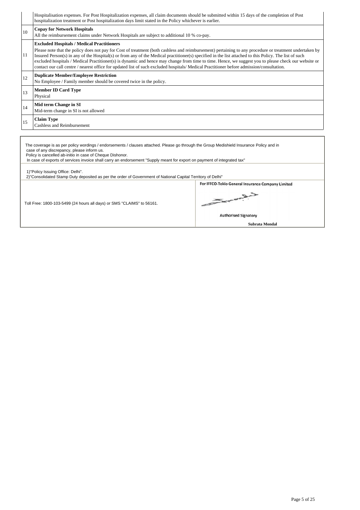Hospitalisation expenses. For Post Hospitalization expenses, all claim documents should be submitted within 15 days of the completion of Post hospitalization treatment or Post hospitalization days limit stated in the Policy whichever is earlier. <sup>10</sup> **Copay for Network Hospitals** All the reimbursement claims under Network Hospitals are subject to additional 10 % co-pay. 11 **Excluded Hospitals / Medical Practitioners** Please note that the policy does not pay for Cost of treatment (both cashless and reimbursement) pertaining to any procedure or treatment undertaken by Insured Person(s) in any of the Hospital(s) or from any of the Medical practitioner(s) specified in the list attached to this Policy. The list of such excluded hospitals / Medical Practitioner(s) is dynamic and hence may change from time to time. Hence, we suggest you to please check our website or contact our call centre / nearest office for updated list of such excluded hospitals/ Medical Practitioner before admission/consultation. <sup>12</sup> **Duplicate Member/Employee Restriction** No Employee / Family member should be covered twice in the policy. <sup>13</sup> **Member ID Card Type** Physical <sup>14</sup> **Mid term Change in SI** Mid-term change in SI is not allowed <sup>15</sup> **Claim Type** Cashless and Reimbursement

| The coverage is as per policy wordings / endorsements / clauses attached. Please go through the Group Medishield Insurance Policy and in<br>case of any discrepancy, please inform us.<br>Policy is cancelled ab-initio in case of Cheque Dishonor.<br>In case of exports of services invoice shall carry an endorsement "Supply meant for export on payment of integrated tax" |                                                                                                              |
|---------------------------------------------------------------------------------------------------------------------------------------------------------------------------------------------------------------------------------------------------------------------------------------------------------------------------------------------------------------------------------|--------------------------------------------------------------------------------------------------------------|
| 1)"Policy Issuing Office: Delhi".<br>2) "Consolidated Stamp Duty deposited as per the order of Government of National Capital Territory of Delhi"                                                                                                                                                                                                                               |                                                                                                              |
| Toll Free: 1800-103-5499 (24 hours all days) or SMS "CLAIMS" to 56161.                                                                                                                                                                                                                                                                                                          | For IFFCO-Tokio General Insurance Company Limited<br>Leaves<br><b>Authorised Signatory</b><br>Subrata Mondal |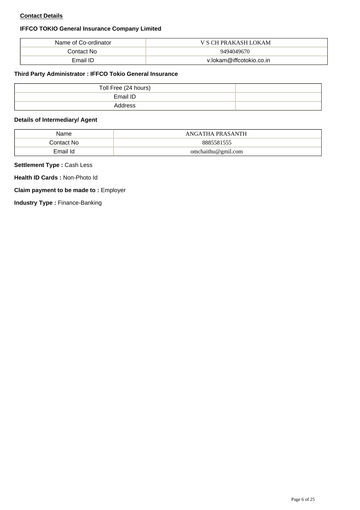# **Contact Details**

# **IFFCO TOKIO General Insurance Company Limited**

| Name of Co-ordinator | V S CH PRAKASH LOKAM     |
|----------------------|--------------------------|
| Contact No           | 9494049670               |
| Email ID             | v.lokam@iffcotokio.co.in |

# **Third Party Administrator : IFFCO Tokio General Insurance**

| Toll Free (24 hours) |  |
|----------------------|--|
| Email ID             |  |
| Address              |  |

# **Details of Intermediary/ Agent**

| Name       | ANGATHA PRASANTH   |
|------------|--------------------|
| Contact No | 8885581555         |
| Email Id   | omchaithu@gmil.com |

# **Settlement Type :** Cash Less

**Health ID Cards :** Non-Photo Id

# **Claim payment to be made to :** Employer

**Industry Type : Finance-Banking**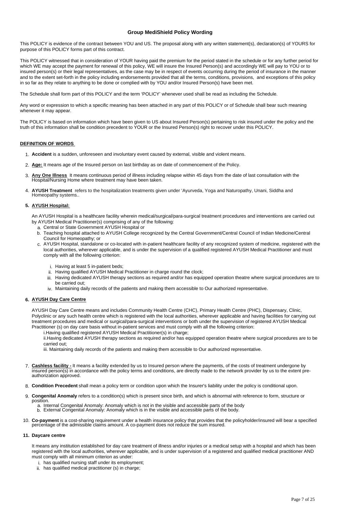## **Group MediShield Policy Wording**

This POLICY is evidence of the contract between YOU and US. The proposal along with any written statement(s), declaration(s) of YOURS for purpose of this POLICY forms part of this contract.

This POLICY witnessed that in consideration of YOUR having paid the premium for the period stated in the schedule or for any further period for which WE may accept the payment for renewal of this policy, WE will insure the Insured Person(s) and accordingly WE will pay to YOU or to insured person(s) or their legal representatives, as the case may be in respect of events occurring during the period of insurance in the manner and to the extent set-forth in the policy including endorsements provided that all the terms, conditions, provisions, and exceptions of this policy in so far as they relate to anything to be done or complied with by YOU and/or Insured Person(s) have been met.

The Schedule shall form part of this POLICY and the term 'POLICY' whenever used shall be read as including the Schedule.

Any word or expression to which a specific meaning has been attached in any part of this POLICY or of Schedule shall bear such meaning whenever it may appear.

The POLICY is based on information which have been given to US about Insured Person(s) pertaining to risk insured under the policy and the truth of this information shall be condition precedent to YOUR or the Insured Person(s) right to recover under this POLICY.

## **DEFINITION OF WORDS**

- 1. **Accident** is a sudden, unforeseen and involuntary event caused by external, visible and violent means.
- 2. **Age:** It means age of the Insured person on last birthday as on date of commencement of the Policy.
- 3. **Any One Illness** It means continuous period of illness including relapse within 45 days from the date of last consultation with the Hospital/Nursing Home where treatment may have been taken.
- 4. **AYUSH Treatment** refers to the hospitalization treatments given under 'Ayurveda, Yoga and Naturopathy, Unani, Siddha and Homeopathy systems..

#### **5. AYUSH Hospital:**

An AYUSH Hospital is a healthcare facility wherein medical/surgical/para-surgical treatment procedures and interventions are carried out by AYUSH Medical Practitioner(s) comprising of any of the following:

- a. Central or State Government AYUSH Hospital or
- b. Teaching hospital attached to AYUSH College recognized by the Central Government/Central Council of Indian Medicine/Central Council for Homeopathy; or
- c. AYUSH Hospital, standalone or co-located with in-patient healthcare facility of any recognized system of medicine, registered with the local authorities, wherever applicable, and is under the supervision of a qualified registered AYUSH Medical Practitioner and must comply with all the following criterion:
	- i. Having at least 5 in-patient beds;
	- ii. Having qualified AYUSH Medical Practitioner in charge round the clock;
	- iii. Having dedicated AYUSH therapy sections as required and/or has equipped operation theatre where surgical procedures are to be carried out;
	- iv. Maintaining daily records of the patients and making them accessible to Our authorized representative.

#### **6. AYUSH Day Care Centre**

AYUSH Day Care Centre means and includes Community Health Centre (CHC), Primary Health Centre (PHC), Dispensary, Clinic, Polyclinic or any such health centre which is registered with the local authorities, wherever applicable and having facilities for carrying out treatment procedures and medical or surgical/para-surgical interventions or both under the supervision of registered AYUSH Medical Practitioner (s) on day care basis without in-patient services and must comply with all the following criterion:

i.Having qualified registered AYUSH Medical Practitioner(s) in charge;

ii.Having dedicated AYUSH therapy sections as required and/or has equipped operation theatre where surgical procedures are to be carried out;

iii. Maintaining daily records of the patients and making them accessible to Our authorized representative.

- 7. **Cashless facility -** It means a facility extended by us to Insured person where the payments, of the costs of treatment undergone by insured person(s) in accordance with the policy terms and conditions, are directly made to the network provider by us to the extent premomon<sub>p</sub>urom<sub>(c)</sub>, moment
- 8. **Condition Precedent** shall mean a policy term or condition upon which the Insurer's liability under the policy is conditional upon.
- 9. **Congenital Anomaly** refers to a condition(s) which is present since birth, and which is abnormal with reference to form, structure or
	- position. a. Internal Congenital Anomaly: Anomaly which is not in the visible and accessible parts of the body
		- b. External Congenital Anomaly: Anomaly which is in the visible and accessible parts of the body.
- 10. Co-payment is a cost-sharing requirement under a health insurance policy that provides that the policyholder/insured will bear a specified percentage of the admissible claims amount. A co-payment does not reduce the su

#### **11. Daycare centre**

It means any institution established for day care treatment of illness and/or injuries or a medical setup with a hospital and which has been registered with the local authorities, wherever applicable, and is under supervision of a registered and qualified medical practitioner AND must comply with all minimum criterion as under:

- i. has qualified nursing staff under its employment;
- ii. has qualified medical practitioner (s) in charge;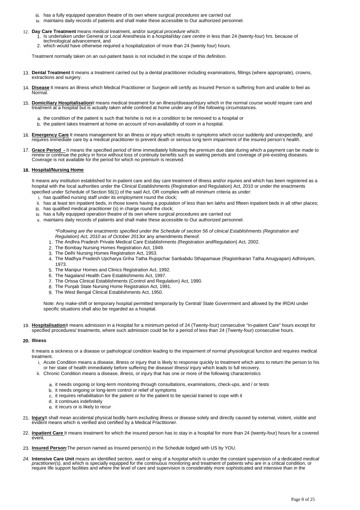- iii. has a fully equipped operation theatre of its own where surgical procedures are carried out
- iv. maintains daily records of patients and shall make these accessible to Our authorized personnel.
- 
- 12. Day Care Treatment means medical treatment, and/or surgical procedure which:<br>1. Is undertaken under General or Local Anesthesia in a hospital/day care centre in less than 24 (twenty-four) hrs. because of technological advancement, and
	- 2. which would have otherwise required a hospitalization of more than 24 (twenty four) hours.

Treatment normally taken on an out-patient basis is not included in the scope of this definition.

- 13. **Dental Treatment** It means a treatment carried out by a dental practitioner including examinations, fillings (where appropriate), crowns, extractions and surgery.
- Disease It means an illness which Medical Practitioner or Surgeon will certify as Insured Person is suffering from and unable to feel as Normal.
- 15. **Domiciliary Hospitalisation**It means medical treatment for an illness/disease/injury which in the normal course would require care and treatment at a hospital but is actually taken while confined at home under any of the following circumstances.
	- a. the condition of the patient is such that he/she is not in a condition to be removed to a hospital or
	- b. the patient takes treatment at home on account of non-availability of room in a hospital.
- 16. **Emergency Care** It means management for an illness or injury which results in symptoms which occur suddenly and unexpectedly, and requires immediate care by a medical practitioner to prevent death or serious long term impairment of the insured person's health.
- 17. **Grace Period -** It means the specified period of time immediately following the premium due date during which a payment can be made to renew or continue the policy in force without loss of continuity benefits such as waiting periods and coverage of pre-existing diseases. Coverage is not available for the period for which no premium is received.

#### **18. Hospital/Nursing Home**

It means any institution established for in-patient care and day care treatment of illness and/or injuries and which has been registered as a hospital with the local authorities under the Clinical Establishments (Registration and Regulation) Act, 2010 or under the enactments specified under Schedule of Section 56(1) of the said Act, OR complies with all minimum criteria as under:

- i. has qualified nursing staff under its employment round the clock;
- ii. has at least ten inpatient beds, in those towns having a population of less than ten lakhs and fifteen inpatient beds in all other places;
- iii. has qualified medical practitioner (s) in charge round the clock;
- iv. has a fully equipped operation theatre of its own where surgical procedures are carried out
- v. maintains daily records of patients and shall make these accessible to Our authorized personnel.

\*Following are the enactments specified under the Schedule of section 56 of clinical Establishments (Registration and Regulation) Act, 2010 as of October 2013or any amendments thereof.

- 1. The Andhra Pradesh Private Medical Care Establishments (Registration andRegulation) Act, 2002.
- 2. The Bombay Nursing Homes Registration Act, 1949.
- 3. The Delhi Nursing Homes Registration Act, 1953.
- 4. The Madhya Pradesh Upcharya Griha Tatha Rujopchar Sanbabdu Sthapamaue (Ragistrikaran Tatha Anugyapan) Adhiniyam, 1973.
- 5. The Manipur Homes and Clinics Registration Act, 1992.
- 6. The Nagaland Health Care Establishments Act, 1997.
- 7. The Orissa Clinical Establishments (Control and Regulation) Act, 1990.
- 8. The Punjab State Nursing Home Registration Act, 1991.
- 9. The West Bengal Clinical Establishments Act, 1950.

Note: Any make-shift or temporary hospital permitted temporarily by Central/ State Government and allowed by the IRDAI under specific situations shall also be regarded as a hospital.

19. **Hospitalisation**It means admission in a Hospital for a minimum period of 24 (Twenty-four) consecutive "In-patient Care" hours except for specified procedures/ treatments, where such admission could be for a period of less than 24 (Twenty-four) consecutive hours.

#### **20. Illness**

It means a sickness or a disease or pathological condition leading to the impairment of normal physiological function and requires medical treatment.

- i. Acute Condition means a disease, illness or injury that is likely to response quickly to treatment which aims to return the person to his or her state of health immediately before suffering the disease/ illness/ injury which leads to full recovery.
- ii. Chronic Condition means a disease, illness, or injury that has one or more of the following characteristics
	- a. it needs ongoing or long-term monitoring through consultations, examinations, check-ups, and / or tests
	- b. it needs ongoing or long-term control or relief of symptoms
	- c. it requires rehabilitation for the patient or for the patient to be special trained to cope with it
	- d. it continues indefinitely
	- e. it recurs or is likely to recur
- 21. **Injury**It shall mean accidental physical bodily harm excluding illness or disease solely and directly caused by external, violent, visible and evident means which is verified and certified by a Medical Practitioner.
- 22. **Inpatient Care** It means treatment for which the insured person has to stay in a hospital for more than 24 (twenty-four) hours for a covered event.
- 23. **Insured Person:**The person named as Insured person(s) in the Schedule lodged with US by YOU.
- 24. **Intensive Care Unit** means an identified section, ward or wing of a hospital which is under the constant supervision of a dedicated medical practitioner(s), and which is specially equipped for the continuous monitoring and treatment of patients who are in a critical condition, or<br>require life support facilities and where the level of care and supervision is co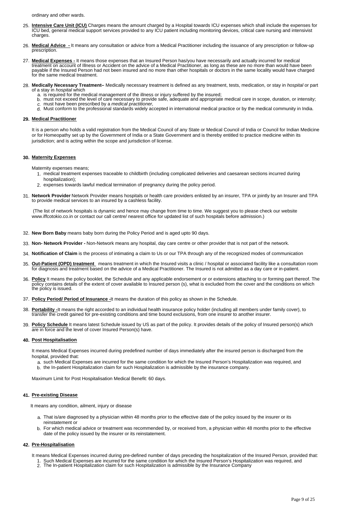ordinary and other wards.

- 25. **Intensive Care Unit (ICU)** Charges means the amount charged by a Hospital towards ICU expenses which shall include the expenses for ICU bed, general medical support services provided to any ICU patient including monitoring devices, critical care nursing and intensivist charges
- 26. **Medical Advice -** It means any consultation or advice from a Medical Practitioner including the issuance of any prescription or follow-up prescription.
- 27. **Medical Expenses -** It means those expenses that an Insured Person has/you have necessarily and actually incurred for medical treatment on account of Illness or Accident on the advice of a Medical Practitioner, as long as these are no more than would have been<br>payable if the Insured Person had not been insured and no more than other hospitals or for the same medical treatment.
- 28. **Medically Necessary Treatment–** Medically necessary treatment is defined as any treatment, tests, medication, or stay in hospital or part of a stay in *hospital* which
	- a. is required for the medical management of the illness or injury suffered by the insured;
		- b. must not exceed the level of care necessary to provide safe, adequate and appropriate medical care in scope, duration, or intensity;<br>c. must have been prescribed by a *medical practitioner,*
	-
	- d. Must conform to the professional standards widely accepted in international medical practice or by the medical community in India.

## **29. Medical Practitioner**

It is a person who holds a valid registration from the Medical Council of any State or Medical Council of India or Council for Indian Medicine or for Homeopathy set up by the Government of India or a State Government and is thereby entitled to practice medicine within its jurisdiction; and is acting within the scope and jurisdiction of license.

#### **30. Maternity Expenses**

Maternity expenses means;

- 1. medical treatment expenses traceable to childbirth (including complicated deliveries and caesarean sections incurred during hospitalization);
- 2. expenses towards lawful medical termination of pregnancy during the policy period.
- 31. **Network Provider** Network Provider means hospitals or health care providers enlisted by an insurer, TPA or jointly by an Insurer and TPA to provide medical services to an insured by a cashless facility.

(The list of network hospitals is dynamic and hence may change from time to time. We suggest you to please check our website www.iffcotokio.co.in or contact our call centre/ nearest office for updated list of such hospitals before admission.)

- 32. **New Born Baby** means baby born during the Policy Period and is aged upto 90 days.
- 33. **Non- Network Provider -** Non-Network means any hospital, day care centre or other provider that is not part of the network.
- 34. **Notification of Claim** is the process of intimating a claim to Us or our TPA through any of the recognized modes of communication
- 35. **Out-Patient (OPD) treatment** means treatment in which the Insured visits a clinic / hospital or associated facility like a consultation room for diagnosis and treatment based on the advice of a Medical Practitioner. The Insured is not admitted as a day care or in-patient.
- 36. **Policy** It means the policy booklet, the Schedule and any applicable endorsement or or extensions attaching to or forming part thereof. The policy contains details of the extent of cover available to Insured person (s), what is excluded from the cover and the conditions on which the policy is issued.
- 37. **Policy Period/ Period of Insurance -**It means the duration of this policy as shown in the Schedule.
- 38. **Portability -**It means the right accorded to an individual health insurance policy holder (including all members under family cover), to transfer the credit gained for pre-existing conditions and time bound exclusions, from one insurer to another insurer.
- 39. **Policy Schedule** It means latest Schedule issued by US as part of the policy. It provides details of the policy of Insured person(s) which are in force and the level of cover Insured Person(s) have.

#### **40. Post Hospitalisation**

It means Medical Expenses incurred during predefined number of days immediately after the insured person is discharged from the hospital, provided that:

- a. such Medical Expenses are incurred for the same condition for which the Insured Person's Hospitalization was required, and
- b. the In-patient Hospitalization claim for such Hospitalization is admissible by the insurance company.

Maximum Limit for Post Hospitalisation Medical Benefit: 60 days.

## **41. Pre-existing Disease**

It means any condition, ailment, injury or disease

- a. That is/are diagnosed by a physician within 48 months prior to the effective date of the policy issued by the insurer or its reinstatement or
- b. For which medical advice or treatment was recommended by, or received from, a physician within 48 months prior to the effective date of the policy issued by the insurer or its reinstatement.

## **42. Pre-Hospitalisation**

- It means Medical Expenses incurred during pre-defined number of days preceding the hospitalization of the Insured Person, provided that:
	- 1. Such Medical Expenses are incurred for the same condition for which the Insured Person's Hospitalization was required, and 2. The In-patient Hospitalization claim for such Hospitalization is admissible by the Insurance Company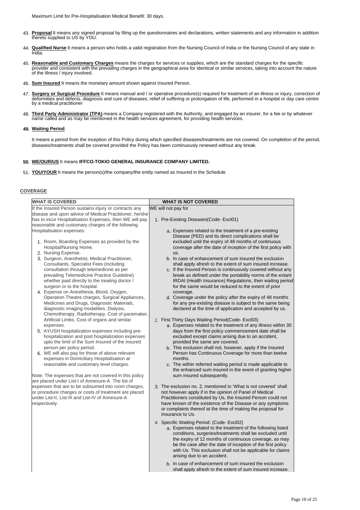Maximum Limit for Pre-Hospitalisation Medical Benefit: 30 days.

- 43. **Proposal** It means any signed proposal by filing up the questionnaires and declarations, written statements and any information in addition thereto supplied to US by YOU.
- 44. **Qualified Nurse** It means a person who holds a valid registration from the Nursing Council of India or the Nursing Council of any state in India.
- 45. Reasonable and Customary Charges means the charges for services or supplies, which are the standard charges for the specific<br>provider and consistent with the prevailing charges in the geographical area for identical or
- 46. **Sum Insured** It means the monetary amount shown against Insured Person.
- 47. **Surgery or Surgical Procedure** It means manual and / or operative procedure(s) required for treatment of an illness or injury, correction of deformities and defects, diagnosis and cure of diseases, relief of suffering or prolongation of life, performed in a hospital or day care centre by a medical practitioner
- 48. **Third Party Administrator (TPA)** means a Company registered with the Authority, and engaged by an insurer, for a fee or by whatever name called and as may be mentioned in the health services agreement, for providing health services.

## **49. Waiting Period**

It means a period from the inception of this Policy during which specified diseases/treatments are not covered. On completion of the period, diseases/treatments shall be covered provided the Policy has been continuously renewed without any break.

## **50. WE/OUR/US** It means **IFFCO-TOKIO GENERAL INSURANCE COMPANY LIMITED.**

51. **YOU/YOUR** It means the person(s)/the company/the entity named as Insured in the Schedule

## **COVERAGE**

| <b>WHAT IS COVERED</b>                                                        | <b>WHAT IS NOT COVERED</b>                                                                                        |
|-------------------------------------------------------------------------------|-------------------------------------------------------------------------------------------------------------------|
| If the Insured Person sustains injury or contracts any                        | WE will not pay for                                                                                               |
| disease and upon advice of Medical Practitioner, he/she                       |                                                                                                                   |
| has to incur Hospitalisation Expenses, then WE will pay                       | 1. Pre-Existing Diseases(Code-Excl01)                                                                             |
| reasonable and customary charges of the following                             |                                                                                                                   |
| Hospitalisation expenses:                                                     | a. Expenses related to the treatment of a pre-existing                                                            |
|                                                                               | Disease (PED) and its direct complications shall be                                                               |
| 1. Room, Boarding Expenses as provided by the                                 | excluded until the expiry of 48 months of continuous                                                              |
| Hospital/Nursing Home.                                                        | coverage after the date of inception of the first policy with                                                     |
| 2. Nursing Expense.                                                           | us.                                                                                                               |
| 3. Surgeon, Anesthetist, Medical Practitioner,                                | b. In case of enhancement of sum insured the exclusion                                                            |
| Consultants, Specialist Fees (including                                       | shall apply afresh to the extent of sum insured increase.                                                         |
| consultation through telemedicine as per                                      | c. If the Insured Person is continuously covered without any                                                      |
| prevailing Telemedicine Practice Guideline)                                   | break as defined under the portability norms of the extant                                                        |
| whether paid directly to the treating doctor /<br>surgeon or to the hospital. | IRDAI (Health Insurance) Regulations, then waiting period<br>for the same would be reduced to the extent of prior |
| 4. Expense on Anesthesia, Blood, Oxygen,                                      | coverage.                                                                                                         |
| Operation Theatre charges, Surgical Appliances,                               | d. Coverage under the policy after the expiry of 48 months                                                        |
| Medicines and Drugs, Diagnostic Materials,                                    | for any pre-existing disease is subject to the same being                                                         |
| diagnostic imaging modalities, Dialysis,                                      | declared at the time of application and accepted by us.                                                           |
| Chemotherapy, Radiotherapy, Cost of pacemaker,                                |                                                                                                                   |
| Artificial Limbs, Cost of organs and similar                                  | 2. First Thirty Days Waiting Period (Code-Excl03)                                                                 |
| expenses.                                                                     | a. Expenses related to the treatment of any illness within 30                                                     |
| 5. AYUSH hospitalization expenses including pre-                              | days from the first policy commencement date shall be                                                             |
| hospitalization and post hospitalization expenses                             | excluded except claims arising due to an accident,                                                                |
| upto the limit of the Sum Insured of the insured                              | provided the same are covered.                                                                                    |
| person per policy period.                                                     | b. This exclusion shall not, however, apply if the Insured                                                        |
| 6. WE will also pay for those of above relevant                               | Person has Continuous Coverage for more than twelve                                                               |
| expenses in Domiciliary Hospitalisation at                                    | months.                                                                                                           |
| reasonable and customary level charges.                                       | c. The within referred waiting period is made applicable to                                                       |
|                                                                               | the enhanced sum insured in the event of granting higher                                                          |
| Note: The expenses that are not covered in this policy                        | sum insured subsequently.                                                                                         |
| are placed under List-I of Annexure-A. The list of                            |                                                                                                                   |
| expenses that are to be subsumed into room charges,                           | 3. The exclusion no. 2, mentioned in 'What is not covered' shall                                                  |
| or procedure charges or costs of treatment are placed                         | not however apply if in the opinion of Panel of Medical                                                           |
| under List-II, List-III and List-IV of Annexure-A                             | Practitioners constituted by Us, the Insured Person could not                                                     |
| respectively.                                                                 | have known of the existence of the Disease or any symptoms                                                        |
|                                                                               | or complaints thereof at the time of making the proposal for                                                      |
|                                                                               | Insurance to Us.                                                                                                  |
|                                                                               | 4. Specific Waiting Period: (Code-Excl02)                                                                         |
|                                                                               | a. Expenses related to the treatment of the following listed                                                      |
|                                                                               | conditions, surgeries/treatments shall be excluded until                                                          |
|                                                                               | the expiry of 12 months of continuous coverage, as may                                                            |
|                                                                               | be the case after the date of inception of the first policy                                                       |
|                                                                               | with Us. This exclusion shall not be applicable for claims                                                        |
|                                                                               | arising due to an accident.                                                                                       |
|                                                                               | b. In case of enhancement of sum insured the exclusion                                                            |
|                                                                               | shall apply afresh to the extent of sum insured increase.                                                         |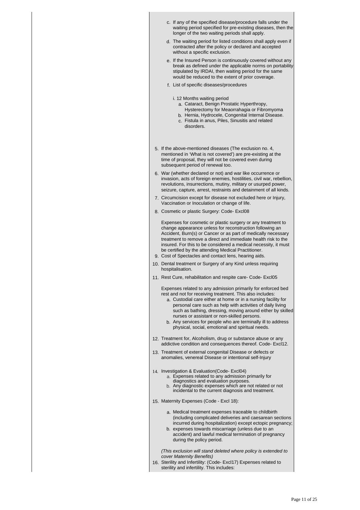| c. If any of the specified disease/procedure falls under the<br>waiting period specified for pre-existing diseases, then the<br>longer of the two waiting periods shall apply.                                                                                                                                                                                                                                                                                                            |
|-------------------------------------------------------------------------------------------------------------------------------------------------------------------------------------------------------------------------------------------------------------------------------------------------------------------------------------------------------------------------------------------------------------------------------------------------------------------------------------------|
| d. The waiting period for listed conditions shall apply even if<br>contracted after the policy or declared and accepted<br>without a specific exclusion.                                                                                                                                                                                                                                                                                                                                  |
| e. If the Insured Person is continuously covered without any<br>break as defined under the applicable norms on portability<br>stipulated by IRDAI, then waiting period for the same<br>would be reduced to the extent of prior coverage.                                                                                                                                                                                                                                                  |
| f. List of specific diseases/procedures                                                                                                                                                                                                                                                                                                                                                                                                                                                   |
| i. 12 Months waiting period<br>a. Cataract, Benign Prostatic Hyperthropy,<br>Hysterectomy for Meaorrahagia or Fibromyoma<br>b. Hernia, Hydrocele, Congenital Internal Disease.<br>c. Fistula in anus, Piles, Sinusitis and related<br>disorders.                                                                                                                                                                                                                                          |
| 5. If the above-mentioned diseases (The exclusion no. 4,<br>mentioned in 'What is not covered') are pre-existing at the<br>time of proposal, they will not be covered even during<br>subsequent period of renewal too.                                                                                                                                                                                                                                                                    |
| 6. War (whether declared or not) and war like occurrence or<br>invasion, acts of foreign enemies, hostilities, civil war, rebellion,<br>revolutions, insurrections, mutiny, military or usurped power,<br>seizure, capture, arrest, restraints and detainment of all kinds.                                                                                                                                                                                                               |
| 7. Circumcision except for disease not excluded here or Injury,<br>Vaccination or Inoculation or change of life.                                                                                                                                                                                                                                                                                                                                                                          |
| 8. Cosmetic or plastic Surgery: Code- Excl08                                                                                                                                                                                                                                                                                                                                                                                                                                              |
| Expenses for cosmetic or plastic surgery or any treatment to<br>change appearance unless for reconstruction following an<br>Accident, Burn(s) or Cancer or as part of medically necessary<br>treatment to remove a direct and immediate health risk to the<br>insured. For this to be considered a medical necessity, it must<br>be certified by the attending Medical Practitioner.<br>9. Cost of Spectacles and contact lens, hearing aids.                                             |
| 10. Dental treatment or Surgery of any Kind unless requiring<br>hospitalisation.                                                                                                                                                                                                                                                                                                                                                                                                          |
| 11. Rest Cure, rehabilitation and respite care- Code- Excl05                                                                                                                                                                                                                                                                                                                                                                                                                              |
| Expenses related to any admission primarily for enforced bed<br>rest and not for receiving treatment. This also includes:<br>a. Custodial care either at home or in a nursing facility for<br>personal care such as help with activities of daily living<br>such as bathing, dressing, moving around either by skilled<br>nurses or assistant or non-skilled persons.<br>b. Any services for people who are terminally ill to address<br>physical, social, emotional and spiritual needs. |
| 12. Treatment for, Alcoholism, drug or substance abuse or any<br>addictive condition and consequences thereof. Code- Excl12.                                                                                                                                                                                                                                                                                                                                                              |
| 13. Treatment of external congenital Disease or defects or<br>anomalies, venereal Disease or intentional self-Injury                                                                                                                                                                                                                                                                                                                                                                      |
| 14. Investigation & Evaluation(Code-Excl04)<br>a. Expenses related to any admission primarily for<br>diagnostics and evaluation purposes.<br>b. Any diagnostic expenses which are not related or not<br>incidental to the current diagnosis and treatment.                                                                                                                                                                                                                                |
| 15. Maternity Expenses (Code - Excl 18):                                                                                                                                                                                                                                                                                                                                                                                                                                                  |
| a. Medical treatment expenses traceable to childbirth<br>(including complicated deliveries and caesarean sections<br>incurred during hospitalization) except ectopic pregnancy;<br>b. expenses towards miscarriage (unless due to an<br>accident) and lawful medical termination of pregnancy<br>during the policy period.                                                                                                                                                                |
| (This exclusion will stand deleted where policy is extended to<br>cover Maternity Benefits)<br>16. Sterility and Infertility: (Code- Excl17) Expenses related to<br>sterility and infertility. This includes:                                                                                                                                                                                                                                                                             |
|                                                                                                                                                                                                                                                                                                                                                                                                                                                                                           |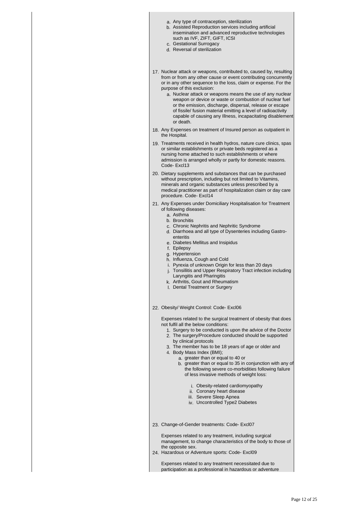a. Any type of contraception, sterilization b. Assisted Reproduction services including artificial insemination and advanced reproductive technologies such as IVF, ZIFT, GIFT, ICSI c. Gestational Surrogacy d. Reversal of sterilization 17. Nuclear attack or weapons, contributed to, caused by, resulting from or from any other cause or event contributing concurrently or in any other sequence to the loss, claim or expense. For the purpose of this exclusion: a. Nuclear attack or weapons means the use of any nuclear weapon or device or waste or combustion of nuclear fuel or the emission, discharge, dispersal, release or escape of fissile/ fusion material emitting a level of radioactivity capable of causing any Illness, incapacitating disablement or death. 18. Any Expenses on treatment of Insured person as outpatient in the Hospital. 19. Treatments received in health hydros, nature cure clinics, spas or similar establishments or private beds registered as a nursing home attached to such establishments or where admission is arranged wholly or partly for domestic reasons. Code- Excl13 20. Dietary supplements and substances that can be purchased without prescription, including but not limited to Vitamins, minerals and organic substances unless prescribed by a medical practitioner as part of hospitalization claim or day care procedure. Code- Excl14 21. Any Expenses under Domiciliary Hospitalisation for Treatment of following diseases: a. Asthma b. Bronchitis c. Chronic Nephritis and Nephritic Syndrome d. Diarrhoea and all type of Dysenteries including Gastroenteritis e. Diabetes Mellitus and Insipidus f. Epilepsy g. Hypertension h. Influenza, Cough and Cold i. Pyrexia of unknown Origin for less than 20 days j. Tonsillitis and Upper Respiratory Tract infection including Laryngitis and Pharingitis k. Arthritis, Gout and Rheumatism l. Dental Treatment or Surgery 22. Obesity/ Weight Control: Code- Excl06 Expenses related to the surgical treatment of obesity that does not fulfil all the below conditions: 1. Surgery to be conducted is upon the advice of the Doctor 2. The surgery/Procedure conducted should be supported by clinical protocols 3. The member has to be 18 years of age or older and 4. Body Mass Index (BMI); a. greater than or equal to 40 or b. greater than or equal to 35 in conjunction with any of the following severe co-morbidities following failure of less invasive methods of weight loss: i. Obesity-related cardiomyopathy ii. Coronary heart disease iii. Severe Sleep Apnea iv. Uncontrolled Type2 Diabetes 23. Change-of-Gender treatments: Code- Excl07 Expenses related to any treatment, including surgical management, to change characteristics of the body to those of the opposite sex. 24. Hazardous or Adventure sports: Code- Excl09 Expenses related to any treatment necessitated due to participation as a professional in hazardous or adventure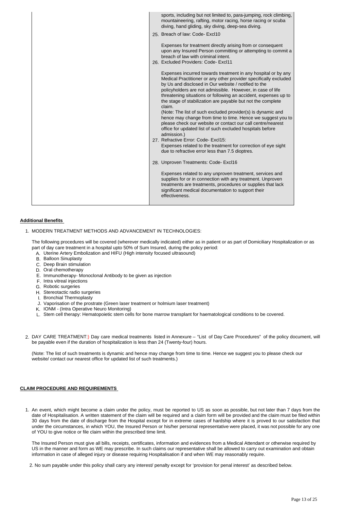| sports, including but not limited to, para-jumping, rock climbing,<br>mountaineering, rafting, motor racing, horse racing or scuba<br>diving, hand gliding, sky diving, deep-sea diving.                                                                                                                                                                                                                                                                                                                                                                                                                                                                                                                                                                                                                                               |
|----------------------------------------------------------------------------------------------------------------------------------------------------------------------------------------------------------------------------------------------------------------------------------------------------------------------------------------------------------------------------------------------------------------------------------------------------------------------------------------------------------------------------------------------------------------------------------------------------------------------------------------------------------------------------------------------------------------------------------------------------------------------------------------------------------------------------------------|
| 25. Breach of law: Code-Excl10                                                                                                                                                                                                                                                                                                                                                                                                                                                                                                                                                                                                                                                                                                                                                                                                         |
| Expenses for treatment directly arising from or consequent<br>upon any Insured Person committing or attempting to commit a<br>breach of law with criminal intent.<br>26. Excluded Providers: Code-Excl11                                                                                                                                                                                                                                                                                                                                                                                                                                                                                                                                                                                                                               |
| Expenses incurred towards treatment in any hospital or by any<br>Medical Practitioner or any other provider specifically excluded<br>by Us and disclosed in Our website / notified to the<br>policyholders are not admissible. However, in case of life<br>threatening situations or following an accident, expenses up to<br>the stage of stabilization are payable but not the complete<br>claim.<br>(Note: The list of such excluded provider(s) is dynamic and<br>hence may change from time to time. Hence we suggest you to<br>please check our website or contact our call centre/nearest<br>office for updated list of such excluded hospitals before<br>admission.)<br>27. Refractive Error: Code-Excl15:<br>Expenses related to the treatment for correction of eye sight<br>due to refractive error less than 7.5 dioptres. |
| 28. Unproven Treatments: Code- Excl16                                                                                                                                                                                                                                                                                                                                                                                                                                                                                                                                                                                                                                                                                                                                                                                                  |
| Expenses related to any unproven treatment, services and<br>supplies for or in connection with any treatment. Unproven<br>treatments are treatments, procedures or supplies that lack<br>significant medical documentation to support their<br>effectiveness.                                                                                                                                                                                                                                                                                                                                                                                                                                                                                                                                                                          |

#### **Additional Benefits**

1. MODERN TREATMENT METHODS AND ADVANCEMENT IN TECHNOLOGIES:

The following procedures will be covered (wherever medically indicated) either as in patient or as part of Domiciliary Hospitalization or as part of day care treatment in a hospital upto 50% of Sum Insured, during the policy period:

- A. Uterine Artery Embolization and HIFU (High intensity focused ultrasound)
- B. Balloon Sinuplasty
- C. Deep Brain stimulation
- D. Oral chemotherapy
- E. Immunotherapy- Monoclonal Antibody to be given as injection
- F. Intra vitreal injections
- G. Robotic surgeries
- H. Stereotactic radio surgeries
- I. Bronchial Thermoplasty
- J. Vaporisation of the prostrate (Green laser treatment or holmium laser treatment)
- K. IONM (Intra Operative Neuro Monitoring)
- L. Stem cell therapy: Hematopoietic stem cells for bone marrow transplant for haematological conditions to be covered.
- 2. DAY CARE TREATMENT:) Day care medical treatments listed in Annexure "List of Day Care Procedures" of the policy document, will be payable even if the duration of hospitalization is less than 24 (Twenty-four) hours.

(Note: The list of such treatments is dynamic and hence may change from time to time. Hence we suggest you to please check our website/ contact our nearest office for updated list of such treatments.)

#### **CLAIM PROCEDURE AND REQUIREMENTS**

1. An event, which might become a claim under the policy, must be reported to US as soon as possible, but not later than 7 days from the date of Hospitalisation. A written statement of the claim will be required and a claim form will be provided and the claim must be filed within 30 days from the date of discharge from the Hospital except for in extreme cases of hardship where it is proved to our satisfaction that under the circumstances, in which YOU, the Insured Person or his/her personal representative were placed, it was not possible for any one of YOU to give notice or file claim within the prescribed time limit.

The Insured Person must give all bills, receipts, certificates, information and evidences from a Medical Attendant or otherwise required by US in the manner and form as WE may prescribe. In such claims our representative shall be allowed to carry out examination and obtain information in case of alleged injury or disease requiring Hospitalisation if and when WE may reasonably require.

2. No sum payable under this policy shall carry any interest/ penalty except for 'provision for penal interest' as described below.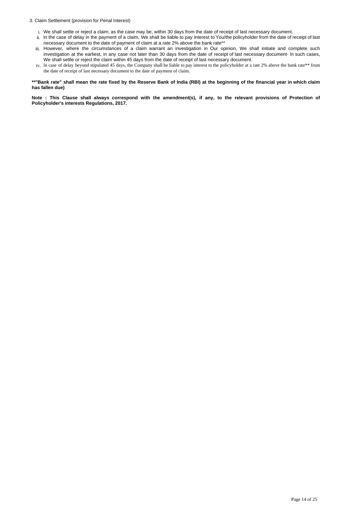#### 3. Claim Settlement (provision for Penal Interest)

- i. We shall settle or reject a claim, as the case may be, within 30 days from the date of receipt of last necessary document.
- ii. ln the case of delay in the payment of a claim, We shall be liable to pay interest to You/the policyholder from the date of receipt of last necessary document to the date of payment of claim at a rate 2% above the bank rate\*\*
- iii. However, where the circumstances of a claim warrant an investigation in Our opinion, We shall initiate and complete such investigation at the earliest, in any case not later than 30 days from the date of receipt of last necessary document- ln such cases, We shall settle or reject the claim within 45 days from the date of receipt of last necessary document.
- iv. ln case of delay beyond stipulated 45 days, the Company shall be liable to pay interest to the policyholder at a rate 2% above the bank rate\*\* from the date of receipt of last necessary document to the date of payment of claim.

\*\*"Bank rate" shall mean the rate fixed by the Reserve Bank of India (RBI) at the beginning of the financial year in which claim **has fallen due)**

Note : This Clause shall always correspond with the amendment(s), if any, to the relevant provisions of Protection of **Policyholder's interests Regulations, 2017.**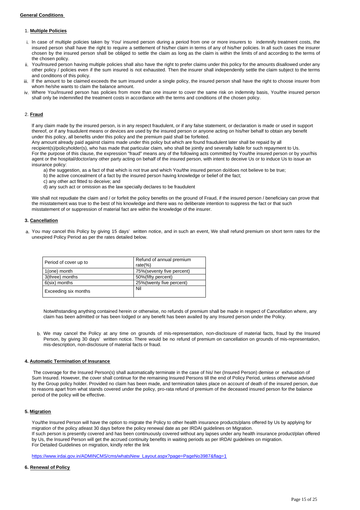#### **General Conditions**

#### 1. **Multiple Policies**

- i. ln case of multiple policies taken by You/ insured person during a period from one or more insurers to indemnify treatment costs, the insured person shall have the right to require a settlement of his/her claim in terms of any of his/her policies. ln all such cases the insurer chosen by the insured person shall be obliged to settle the claim as long as the claim is within the limits of and according to the terms of the chosen policy.
- You/Insured person having multiple policies shall also have the right to prefer claims under this policy for the amounts disallowed under any other policy / policies even if the sum insured is not exhausted. Then the insurer shall independently settle the claim subject to the terms and conditions of this policy.
- If the amount to be claimed exceeds the sum insured under a single policy, the insured person shall have the right to choose insurer from whom he/she wants to claim the balance amount.
- iv. Where You/Insured person has policies from more than one insurer to cover the same risk on indemnity basis, You/the insured person shall only be indemnified the treatment costs in accordance with the terms and conditions of the chosen policy.

## 2. **Fraud**

lf any claim made by the insured person, is in any respect fraudulent, or if any false statement, or declaration is made or used in support thereof, or if any fraudulent means or devices are used by the insured person or anyone acting on his/her behalf to obtain any benefit under this policy, all benefits under this policy and the premium paid shall be forfeited.

Any amount already paid against claims made under this policy but which are found fraudulent later shall be repaid by all recipient(s)/policyholder(s), who has made that particular claim, who shall be jointly and severally liable for such repayment to Us. For the purpose of this clause, the expression "fraud" means any of the following acts committed by You/the insured person or by your/his agent or the hospital/doctor/any other party acting on behalf of the insured person, with intent to deceive Us or to induce Us to issue an insurance policy:

a) the suggestion, as a fact of that which is not true and which You/the insured person do/does not believe to be true;

- b) the active concealment of a fact by the insured person having knowledge or belief of the fact;
- c) any other act fitted to deceive; and
- d) any such act or omission as the law specially declares to be fraudulent

We shall not repudiate the claim and / or forfeit the policy benefits on the ground of Fraud, if the insured person / beneficiary can prove that the misstatement was true to the best of his knowledge and there was no deliberate intention to suppress the fact or that such misstatement of or suppression of material fact are within the knowledge of the insurer.

#### **3. Cancellation**

a. You may cancel this Policy by giving 15 days' written notice, and in such an event, We shall refund premium on short term rates for the unexpired Policy Period as per the rates detailed below.

| Period of cover up to | Refund of annual premium<br>rate $(\%)$ |
|-----------------------|-----------------------------------------|
| 1(one) month          | 75% (seventy five percent)              |
| 3(three) months       | 50% (fifty percent)                     |
| 6(six) months         | 25%(twenty five percent)                |
| Exceeding six months  | Nil                                     |

Notwithstanding anything contained herein or otherwise, no refunds of premium shall be made in respect of Cancellation where, any claim has been admitted or has been lodged or any benefit has been availed by any Insured person under the Policy.

b. We may cancel the Policy at any time on grounds of mis-representation, non-disclosure of material facts, fraud by the Insured Person, by giving 30 days' written notice. There would be no refund of premium on cancellation on grounds of mis-representation, mis-description, non-disclosure of material facts or fraud.

#### **4. Automatic Termination of Insurance**

 The coverage for the Insured Person(s) shall automatically terminate in the case of his/ her (Insured Person) demise or exhaustion of Sum Insured. However, the cover shall continue for the remaining Insured Persons till the end of Policy Period, unless otherwise advised by the Group policy holder. Provided no claim has been made, and termination takes place on account of death of the insured person, due to reasons apart from what stands covered under the policy, pro-rata refund of premium of the deceased insured person for the balance period of the policy will be effective.

## **5. Migration**

You/the Insured Person will have the option to migrate the Policy to other health insurance products/plans offered by Us by applying for migration of the policy atleast 30 days before the policy renewal date as per IRDAI guidelines on Migration. If such person is presently covered and has been continuously covered without any lapses under any health insurance product/plan offered by Us, the Insured Person will get the accrued continuity benefits in waiting periods as per IRDAI guidelines on migration. For Detailed Guidelines on migration, kindly refer the link

[https://www.irdai.gov.in/ADMINCMS/cms/whatsNew\\_Layout.aspx?page=PageNo3987&flag=1](https://www.irdai.gov.in/ADMINCMS/cms/whatsNew_Layout.aspx?page=PageNo3987&flag=1)

#### **6. Renewal of Policy**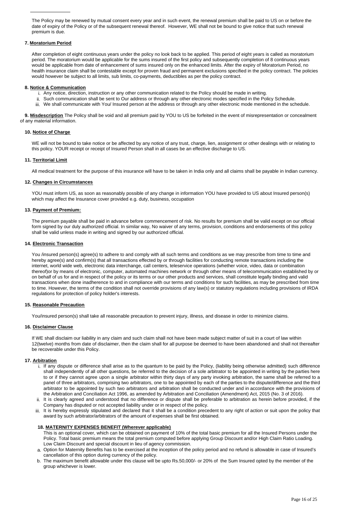The Policy may be renewed by mutual consent every year and in such event, the renewal premium shall be paid to US on or before the date of expiry of the Policy or of the subsequent renewal thereof. However, WE shall not be bound to give notice that such renewal premium is due.

## **7. Moratorium Period**

After completion of eight continuous years under the policy no look back to be applied. This period of eight years is called as moratorium period. The moratorium would be applicable for the sums insured of the first policy and subsequently completion of 8 continuous years would be applicable from date of enhancement of sums insured only on the enhanced limits. After the expiry of Moratorium Period, no health insurance claim shall be contestable except for proven fraud and permanent exclusions specified in the policy contract. The policies would however be subject to all limits, sub limits, co-payments, deductibles as per the policy contract.

#### **8. Notice & Communication**

- i. Any notice, direction, instruction or any other communication related to the Policy should be made in writing.
- ii. Such communication shall be sent to Our address or through any other electronic modes specified in the Policy Schedule.
- iii. We shall communicate with You/ Insured person at the address or through any other electronic mode mentioned in the schedule.

 **9. Misdescription** The Policy shall be void and all premium paid by YOU to US be forfeited in the event of misrepresentation or concealment of any material information.

#### **10. Notice of Charge**

WE will not be bound to take notice or be affected by any notice of any trust, charge, lien, assignment or other dealings with or relating to this policy. YOUR receipt or receipt of Insured Person shall in all cases be an effective discharge to US.

#### **11. Territorial Limit**

All medical treatment for the purpose of this insurance will have to be taken in India only and all claims shall be payable in Indian currency.

#### **12. Changes in Circumstances**

YOU must inform US, as soon as reasonably possible of any change in information YOU have provided to US about Insured person(s) which may affect the Insurance cover provided e.g. duty, business, occupation

#### **13. Payment of Premium:**

The premium payable shall be paid in advance before commencement of risk. No results for premium shall be valid except on our official form signed by our duly authorized official. In similar way, No waiver of any terms, provision, conditions and endorsements of this policy shall be valid unless made in writing and signed by our authorized official.

#### **14. Electronic Transaction**

You /insured person(s) agree(s) to adhere to and comply with all such terms and conditions as we may prescribe from time to time and hereby agree(s) and confirm(s) that all transactions effected by or through facilities for conducting remote transactions including the internet, world wide web, electronic data interchange, call centers, teleservice operations (whether voice, video, data or combination thereof)or by means of electronic, computer, automated machines network or through other means of telecommunication established by or on behalf of us for and in respect of the policy or its terms or our other products and services, shall constitute legally binding and valid transactions when done inadherence to and in compliance with our terms and conditions for such facilities, as may be prescribed from time to time. However, the terms of the condition shall not override provisions of any law(s) or statutory regulations including provisions of IRDA regulations for protection of policy holder's interests.

#### **15. Reasonable Precaution**

You/insured person(s) shall take all reasonable precaution to prevent injury, illness, and disease in order to minimize claims.

#### **16. Disclaimer Clause**

If WE shall disclaim our liability in any claim and such claim shall not have been made subject matter of suit in a court of law within 12(twelve) months from date of disclaimer, then the claim shall for all purpose be deemed to have been abandoned and shall not thereafter be recoverable under this Policy.

## **17. Arbitration**

- i. If any dispute or difference shall arise as to the quantum to be paid by the Policy, (liability being otherwise admitted) such difference shall independently of all other questions, be referred to the decision of a sole arbitrator to be appointed in writing by the parties here to or if they cannot agree upon a single arbitrator within thirty days of any party invoking arbitration, the same shall be referred to a panel of three arbitrators, comprising two arbitrators, one to be appointed by each of the parties to the dispute/difference and the third arbitrator to be appointed by such two arbitrators and arbitration shall be conducted under and in accordance with the provisions of the Arbitration and Conciliation Act 1996, as amended by Arbitration and Conciliation (Amendment) Act, 2015 (No. 3 of 2016).
- ii. It is clearly agreed and understood that no difference or dispute shall be preferable to arbitration as herein before provided, if the Company has disputed or not accepted liability under or in respect of the policy.
- iii. It is hereby expressly stipulated and declared that it shall be a condition precedent to any right of action or suit upon the policy that award by such arbitrator/arbitrators of the amount of expenses shall be first obtained.

### **18. MATERNITY EXPENSES BENEFIT (Wherever applicable)**

This is an optional cover, which can be obtained on payment of 10% of the total basic premium for all the Insured Persons under the Policy. Total basic premium means the total premium computed before applying Group Discount and/or High Claim Ratio Loading. Low Claim Discount and special discount in lieu of agency commission.

- a. Option for Maternity Benefits has to be exercised at the inception of the policy period and no refund is allowable in case of Insured's cancellation of this option during currency of the policy.
- b. The maximum benefit allowable under this clause will be upto Rs.50,000/- or 20% of the Sum Insured opted by the member of the group whichever is lower.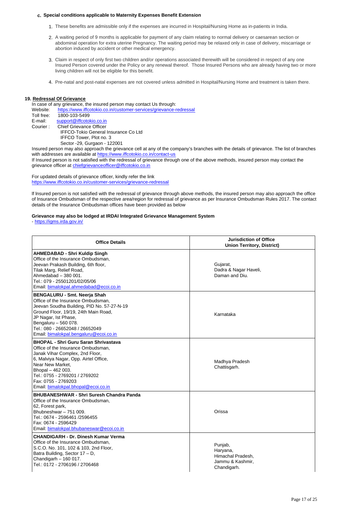#### **c. Special conditions applicable to Maternity Expenses Benefit Extension**

- 1. These benefits are admissible only if the expenses are incurred in Hospital/Nursing Home as in-patients in India.
- 2. A waiting period of 9 months is applicable for payment of any claim relating to normal delivery or caesarean section or abdominal operation for extra uterine Pregnancy. The waiting period may be relaxed only in case of delivery, miscarriage or abortion induced by accident or other medical emergency.
- 3. Claim in respect of only first two children and/or operations associated therewith will be considered in respect of any one Insured Person covered under the Policy or any renewal thereof. Those Insured Persons who are already having two or more living children will not be eligible for this benefit.
- 4. Pre-natal and post-natal expenses are not covered unless admitted in Hospital/Nursing Home and treatment is taken there.

#### **19. Redressal Of Grievance**

In case of any grievance, the insured person may contact Us through:

Website: <https://www.iffcotokio.co.in/customer-services/grievance-redressal><br>Toll free: 1800-103-5499

1800-103-5499

- E-mail: [support@iffcotokio.co.in](mailto:support@iffcotokio.co.in)<br>Courier: Chief Grievance Officer
- Chief Grievance Officer

IFFCO-Tokio General Insurance Co Ltd

IFFCO Tower, Plot no. 3

Sector -29, Gurgaon - 122001

Insured person may also approach the grievance cell at any of the company's branches with the details of grievance. The list of branches with addresses are available at<https://www.iffcotokio.co.in/contact-us>

If Insured person is not satisfied with the redressal of grievance through one of the above methods, insured person may contact the grievance officer at [chiefgrievanceofficer@iffcotokio.co.in](mailto:chiefgrievanceofficer@iffcotokio.co.in)

For updated details of grievance officer, kindly refer the link <https://www.iffcotokio.co.in/customer-services/grievance-redressal>

lf lnsured person is not satisfied with the redressal of grievance through above methods, the insured person may also approach the office of lnsurance Ombudsman of the respective area/region for redressal of grievance as per lnsurance Ombudsman Rules 2017. The contact details of the Insurance Ombudsman offices have been provided as below

## **Grievance may also be lodged at IRDAI lntegrated Grievance Management System**

-<https://igms.irda.gov.in/>

| <b>Office Details</b>                                                                                                                                                                                                                                                                                  | <b>Jurisdiction of Office</b><br><b>Union Territory, District)</b>          |
|--------------------------------------------------------------------------------------------------------------------------------------------------------------------------------------------------------------------------------------------------------------------------------------------------------|-----------------------------------------------------------------------------|
| <b>AHMEDABAD - Shri Kuldip Singh</b><br>Office of the Insurance Ombudsman,<br>Jeevan Prakash Building, 6th floor,<br>Tilak Marg, Relief Road,<br>Ahmedabad - 380 001.<br>Tel.: 079 - 25501201/02/05/06<br>Email: bimalokpal.ahmedabad@ecoi.co.in                                                       | Gujarat,<br>Dadra & Nagar Haveli,<br>Daman and Diu.                         |
| BENGALURU - Smt. Neerja Shah<br>Office of the Insurance Ombudsman,<br>Jeevan Soudha Building, PID No. 57-27-N-19<br>Ground Floor, 19/19, 24th Main Road,<br>JP Nagar, Ist Phase,<br>Bengaluru - 560 078.<br>Tel.: 080 - 26652048 / 26652049<br>Email: bimalokpal.bengaluru@ecoi.co.in                  | Karnataka                                                                   |
| <b>BHOPAL - Shri Guru Saran Shrivastava</b><br>Office of the Insurance Ombudsman.<br>Janak Vihar Complex, 2nd Floor,<br>6, Malviya Nagar, Opp. Airtel Office,<br>Near New Market,<br>Bhopal - 462 003.<br>Tel.: 0755 - 2769201 / 2769202<br>Fax: 0755 - 2769203<br>Email: bimalokpal.bhopal@ecoi.co.in | Madhya Pradesh<br>Chattisgarh.                                              |
| <b>BHUBANESHWAR - Shri Suresh Chandra Panda</b><br>Office of the Insurance Ombudsman,<br>62, Forest park,<br>Bhubneshwar - 751 009.<br>Tel.: 0674 - 2596461 /2596455<br>Fax: 0674 - 2596429<br>Email: bimalokpal.bhubaneswar@ecoi.co.in                                                                | Orissa                                                                      |
| <b>CHANDIGARH - Dr. Dinesh Kumar Verma</b><br>Office of the Insurance Ombudsman,<br>S.C.O. No. 101, 102 & 103, 2nd Floor,<br>Batra Building, Sector 17 - D,<br>Chandigarh - 160 017.<br>Tel.: 0172 - 2706196 / 2706468                                                                                 | Punjab,<br>Haryana,<br>Himachal Pradesh,<br>Jammu & Kashmir,<br>Chandigarh. |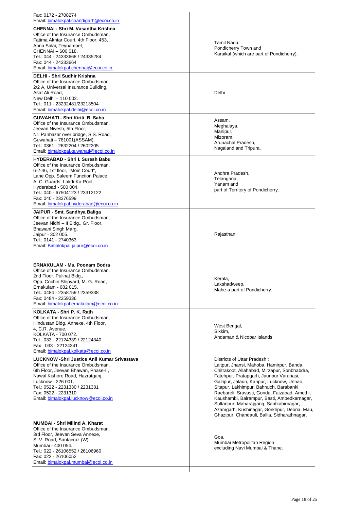| <b>CHENNAI - Shri M. Vasantha Krishna</b>                                                                                                                                                                                                                                                                         |                                                                                                                                                                                                                                                                                                                                                                                                                                                                                                         |
|-------------------------------------------------------------------------------------------------------------------------------------------------------------------------------------------------------------------------------------------------------------------------------------------------------------------|---------------------------------------------------------------------------------------------------------------------------------------------------------------------------------------------------------------------------------------------------------------------------------------------------------------------------------------------------------------------------------------------------------------------------------------------------------------------------------------------------------|
| Office of the Insurance Ombudsman,<br>Fatima Akhtar Court, 4th Floor, 453,<br>Anna Salai, Teynampet,<br>CHENNAI - 600 018.<br>Tel.: 044 - 24333668 / 24335284<br>Fax: 044 - 24333664<br>Email: bimalokpal.chennai@ecoi.co.in                                                                                      | Tamil Nadu,<br>Pondicherry Town and<br>Karaikal (which are part of Pondicherry).                                                                                                                                                                                                                                                                                                                                                                                                                        |
| <b>DELHI - Shri Sudhir Krishna</b><br>Office of the Insurance Ombudsman.<br>2/2 A, Universal Insurance Building,<br>Asaf Ali Road,<br>New Delhi - 110 002.<br>Tel.: 011 - 23232481/23213504<br>Email: bimalokpal.delhi@ecoi.co.in                                                                                 | Delhi                                                                                                                                                                                                                                                                                                                                                                                                                                                                                                   |
| <b>GUWAHATI - Shri Kiriti .B. Saha</b><br>Office of the Insurance Ombudsman,<br>Jeevan Nivesh, 5th Floor,<br>Nr. Panbazar over bridge, S.S. Road,<br>Guwahati - 781001(ASSAM).<br>Tel.: 0361 - 2632204 / 2602205<br>Email: bimalokpal.quwahati@ecoi.co.in                                                         | Assam.<br>Meghalaya,<br>Manipur,<br>Mizoram.<br>Arunachal Pradesh,<br>Nagaland and Tripura.                                                                                                                                                                                                                                                                                                                                                                                                             |
| <b>HYDERABAD - Shri I. Suresh Babu</b><br>Office of the Insurance Ombudsman,<br>6-2-46, 1st floor, "Moin Court",<br>Lane Opp. Saleem Function Palace,<br>A. C. Guards, Lakdi-Ka-Pool,<br>Hyderabad - 500 004.<br>Tel.: 040 - 67504123 / 23312122<br>Fax: 040 - 23376599<br>Email: bimalokpal.hyderabad@ecoi.co.in | Andhra Pradesh,<br>Telangana,<br>Yanam and<br>part of Territory of Pondicherry.                                                                                                                                                                                                                                                                                                                                                                                                                         |
| JAIPUR - Smt. Sandhya Baliga<br>Office of the Insurance Ombudsman,<br>Jeevan Nidhi - Il Bldg., Gr. Floor,<br>Bhawani Singh Marg,<br>Jaipur - 302 005.<br>Tel.: 0141 - 2740363<br>Email: Bimalokpal.jaipur@ecoi.co.in                                                                                              | Rajasthan                                                                                                                                                                                                                                                                                                                                                                                                                                                                                               |
| <b>ERNAKULAM - Ms. Poonam Bodra</b><br>Office of the Insurance Ombudsman.<br>2nd Floor, Pulinat Bldg.,<br>Opp. Cochin Shipyard, M. G. Road,<br>Ernakulam - 682 015.<br>Tel.: 0484 - 2358759 / 2359338<br>Fax: 0484 - 2359336<br>Email: bimalokpal.ernakulam@ecoi.co.in                                            | Kerala,<br>Lakshadweep,<br>Mahe-a part of Pondicherry.                                                                                                                                                                                                                                                                                                                                                                                                                                                  |
| KOLKATA - Shri P. K. Rath<br>Office of the Insurance Ombudsman.<br>Hindustan Bldg. Annexe, 4th Floor,<br>4, C.R. Avenue,<br>KOLKATA - 700 072.<br>Tel.: 033 - 22124339 / 22124340<br>Fax: 033 - 22124341<br>Email: bimalokpal.kolkata@ecoi.co.in                                                                  | West Bengal,<br>Sikkim,<br>Andaman & Nicobar Islands.                                                                                                                                                                                                                                                                                                                                                                                                                                                   |
| <b>LUCKNOW - Shri Justice Anil Kumar Srivastava</b><br>Office of the Insurance Ombudsman,<br>6th Floor, Jeevan Bhawan, Phase-II,<br>Nawal Kishore Road, Hazratganj,<br>Lucknow - 226 001.<br>Tel.: 0522 - 2231330 / 2231331<br>Fax: 0522 - 2231310<br>Email: bimalokpal.lucknow@ecoi.co.in                        | Districts of Uttar Pradesh:<br>Laitpur, Jhansi, Mahoba, Hamirpur, Banda,<br>Chitrakoot, Allahabad, Mirzapur, Sonbhabdra,<br>Fatehpur, Pratapgarh, Jaunpur, Varanasi,<br>Gazipur, Jalaun, Kanpur, Lucknow, Unnao,<br>Sitapur, Lakhimpur, Bahraich, Barabanki,<br>Raebareli, Sravasti, Gonda, Faizabad, Amethi,<br>Kaushambi, Balrampur, Basti, Ambedkarnagar,<br>Sultanpur, Maharajgang, Santkabirnagar,<br>Azamgarh, Kushinagar, Gorkhpur, Deoria, Mau,<br>Ghazipur, Chandauli, Ballia, Sidharathnagar. |
| <b>MUMBAI - Shri Milind A. Kharat</b><br>Office of the Insurance Ombudsman,<br>3rd Floor, Jeevan Seva Annexe,<br>S. V. Road, Santacruz (W),<br>Mumbai - 400 054.<br>Tel.: 022 - 26106552 / 26106960<br>Fax: 022 - 26106052<br>Email: bimalokpal.mumbai@ecoi.co.in                                                 | Goa,<br>Mumbai Metropolitan Region<br>excluding Navi Mumbai & Thane.                                                                                                                                                                                                                                                                                                                                                                                                                                    |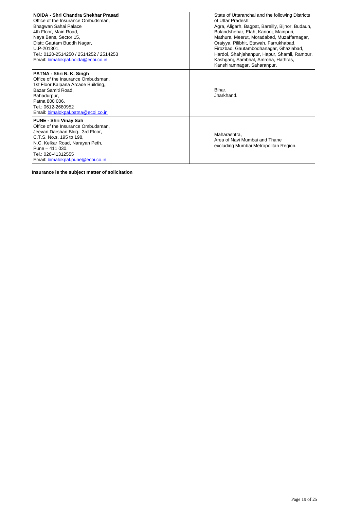| NOIDA - Shri Chandra Shekhar Prasad<br>Office of the Insurance Ombudsman.<br>Bhagwan Sahai Palace<br>4th Floor, Main Road,<br>Naya Bans, Sector 15,<br>Distt: Gautam Buddh Nagar,<br>U.P-201301.<br>Tel.: 0120-2514250 / 2514252 / 2514253<br>Email: bimalokpal.noida@ecoi.co.in | State of Uttaranchal and the following Districts<br>of Uttar Pradesh:<br>Agra, Aligarh, Bagpat, Bareilly, Bijnor, Budaun,<br>Bulandshehar, Etah, Kanooj, Mainpuri,<br>Mathura, Meerut, Moradabad, Muzaffarnagar,<br>Oraiyya, Pilibhit, Etawah, Farrukhabad,<br>Firozbad, Gautambodhanagar, Ghaziabad,<br>Hardoi, Shahjahanpur, Hapur, Shamli, Rampur,<br>Kashganj, Sambhal, Amroha, Hathras,<br>Kanshiramnagar, Saharanpur. |
|----------------------------------------------------------------------------------------------------------------------------------------------------------------------------------------------------------------------------------------------------------------------------------|-----------------------------------------------------------------------------------------------------------------------------------------------------------------------------------------------------------------------------------------------------------------------------------------------------------------------------------------------------------------------------------------------------------------------------|
| PATNA - Shri N. K. Singh<br>Office of the Insurance Ombudsman,<br>1st Floor, Kalpana Arcade Building,,<br>Bazar Samiti Road.<br>Bahadurpur,<br>Patna 800 006.<br>Tel.: 0612-2680952<br>Email: bimalokpal.patna@ecoi.co.in                                                        | Bihar,<br>Jharkhand.                                                                                                                                                                                                                                                                                                                                                                                                        |
| <b>PUNE - Shri Vinay Sah</b><br>Office of the Insurance Ombudsman,<br>Jeevan Darshan Bldg., 3rd Floor,<br>C.T.S. No.s. 195 to 198.<br>N.C. Kelkar Road, Narayan Peth,<br>Pune - 411 030.<br>Tel.: 020-41312555<br>Email: bimalokpal.pune@ecoi.co.in                              | Maharashtra.<br>Area of Navi Mumbai and Thane<br>excluding Mumbai Metropolitan Region.                                                                                                                                                                                                                                                                                                                                      |

**Insurance is the subject matter of solicitation**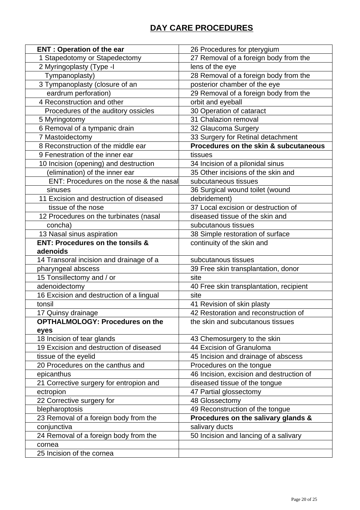# **DAY CARE PROCEDURES**

| <b>ENT: Operation of the ear</b>            | 26 Procedures for pterygium              |
|---------------------------------------------|------------------------------------------|
| 1 Stapedotomy or Stapedectomy               | 27 Removal of a foreign body from the    |
| 2 Myringoplasty (Type -I                    | lens of the eye                          |
| Tympanoplasty)                              | 28 Removal of a foreign body from the    |
| 3 Tympanoplasty (closure of an              | posterior chamber of the eye             |
| eardrum perforation)                        | 29 Removal of a foreign body from the    |
| 4 Reconstruction and other                  | orbit and eyeball                        |
| Procedures of the auditory ossicles         | 30 Operation of cataract                 |
| 5 Myringotomy                               | 31 Chalazion removal                     |
| 6 Removal of a tympanic drain               | 32 Glaucoma Surgery                      |
| 7 Mastoidectomy                             | 33 Surgery for Retinal detachment        |
| 8 Reconstruction of the middle ear          | Procedures on the skin & subcutaneous    |
| 9 Fenestration of the inner ear             | tissues                                  |
| 10 Incision (opening) and destruction       | 34 Incision of a pilonidal sinus         |
| (elimination) of the inner ear              | 35 Other incisions of the skin and       |
| ENT: Procedures on the nose & the nasal     | subcutaneous tissues                     |
| sinuses                                     | 36 Surgical wound toilet (wound          |
| 11 Excision and destruction of diseased     | debridement)                             |
| tissue of the nose                          | 37 Local excision or destruction of      |
| 12 Procedures on the turbinates (nasal      | diseased tissue of the skin and          |
| concha)                                     | subcutanous tissues                      |
| 13 Nasal sinus aspiration                   | 38 Simple restoration of surface         |
| <b>ENT: Procedures on the tonsils &amp;</b> | continuity of the skin and               |
| adenoids                                    |                                          |
| 14 Transoral incision and drainage of a     | subcutanous tissues                      |
| pharyngeal abscess                          | 39 Free skin transplantation, donor      |
| 15 Tonsillectomy and / or                   | site                                     |
| adenoidectomy                               | 40 Free skin transplantation, recipient  |
| 16 Excision and destruction of a lingual    | site                                     |
| tonsil                                      | 41 Revision of skin plasty               |
| 17 Quinsy drainage                          | 42 Restoration and reconstruction of     |
| <b>OPTHALMOLOGY: Procedures on the</b>      | the skin and subcutanous tissues         |
| eyes                                        |                                          |
| 18 Incision of tear glands                  | 43 Chemosurgery to the skin              |
| 19 Excision and destruction of diseased     | 44 Excision of Granuloma                 |
| tissue of the eyelid                        | 45 Incision and drainage of abscess      |
| 20 Procedures on the canthus and            | Procedures on the tongue                 |
| epicanthus                                  | 46 Incision, excision and destruction of |
| 21 Corrective surgery for entropion and     | diseased tissue of the tongue            |
| ectropion                                   | 47 Partial glossectomy                   |
| 22 Corrective surgery for                   | 48 Glossectomy                           |
| blepharoptosis                              | 49 Reconstruction of the tongue          |
| 23 Removal of a foreign body from the       | Procedures on the salivary glands &      |
| conjunctiva                                 | salivary ducts                           |
| 24 Removal of a foreign body from the       | 50 Incision and lancing of a salivary    |
| cornea                                      |                                          |
| 25 Incision of the cornea                   |                                          |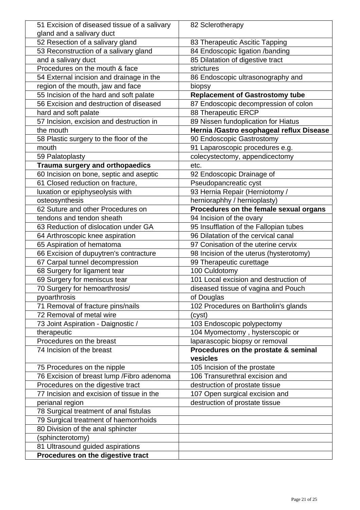| 51 Excision of diseased tissue of a salivary | 82 Sclerotherapy                                 |
|----------------------------------------------|--------------------------------------------------|
| gland and a salivary duct                    |                                                  |
| 52 Resection of a salivary gland             | 83 Therapeutic Ascitic Tapping                   |
| 53 Reconstruction of a salivary gland        | 84 Endoscopic ligation /banding                  |
| and a salivary duct                          | 85 Dilatation of digestive tract                 |
| Procedures on the mouth & face               | strictures                                       |
| 54 External incision and drainage in the     | 86 Endoscopic ultrasonography and                |
| region of the mouth, jaw and face            | biopsy                                           |
| 55 Incision of the hard and soft palate      | <b>Replacement of Gastrostomy tube</b>           |
| 56 Excision and destruction of diseased      | 87 Endoscopic decompression of colon             |
| hard and soft palate                         | 88 Therapeutic ERCP                              |
| 57 Incision, excision and destruction in     | 89 Nissen fundoplication for Hiatus              |
| the mouth                                    | Hernia /Gastro esophageal reflux Disease         |
| 58 Plastic surgery to the floor of the       | 90 Endoscopic Gastrostomy                        |
| mouth                                        | 91 Laparoscopic procedures e.g.                  |
| 59 Palatoplasty                              | colecystectomy, appendicectomy                   |
| Trauma surgery and orthopaedics              | etc.                                             |
| 60 Incision on bone, septic and aseptic      | 92 Endoscopic Drainage of                        |
| 61 Closed reduction on fracture,             | Pseudopancreatic cyst                            |
| luxation or epiphyseolysis with              | 93 Hernia Repair (Herniotomy /                   |
| osteosynthesis                               | hernioraphhy / hernioplasty)                     |
| 62 Suture and other Procedures on            | Procedures on the female sexual organs           |
| tendons and tendon sheath                    | 94 Incision of the ovary                         |
| 63 Reduction of dislocation under GA         | 95 Insufflation of the Fallopian tubes           |
| 64 Arthroscopic knee aspiration              | 96 Dilatation of the cervical canal              |
| 65 Aspiration of hematoma                    | 97 Conisation of the uterine cervix              |
| 66 Excision of dupuytren's contracture       | 98 Incision of the uterus (hysterotomy)          |
| 67 Carpal tunnel decompression               | 99 Therapeutic curettage                         |
| 68 Surgery for ligament tear                 | 100 Culdotomy                                    |
| 69 Surgery for meniscus tear                 | 101 Local excision and destruction of            |
| 70 Surgery for hemoarthrosis/                | diseased tissue of vagina and Pouch              |
| pyoarthrosis                                 | of Douglas                                       |
| 71 Removal of fracture pins/nails            | 102 Procedures on Bartholin's glands             |
| 72 Removal of metal wire                     | (cyst)                                           |
| 73 Joint Aspiration - Daignostic /           | 103 Endoscopic polypectomy                       |
| therapeutic                                  | 104 Myomectomy, hysterscopic or                  |
| Procedures on the breast                     | laparascopic biopsy or removal                   |
| 74 Incision of the breast                    | Procedures on the prostate & seminal<br>vesicles |
| 75 Procedures on the nipple                  | 105 Incision of the prostate                     |
| 76 Excision of breast lump / Fibro adenoma   | 106 Transurethral excision and                   |
| Procedures on the digestive tract            | destruction of prostate tissue                   |
| 77 Incision and excision of tissue in the    | 107 Open surgical excision and                   |
| perianal region                              | destruction of prostate tissue                   |
| 78 Surgical treatment of anal fistulas       |                                                  |
| 79 Surgical treatment of haemorrhoids        |                                                  |
| 80 Division of the anal sphincter            |                                                  |
| (sphincterotomy)                             |                                                  |
| 81 Ultrasound guided aspirations             |                                                  |
| Procedures on the digestive tract            |                                                  |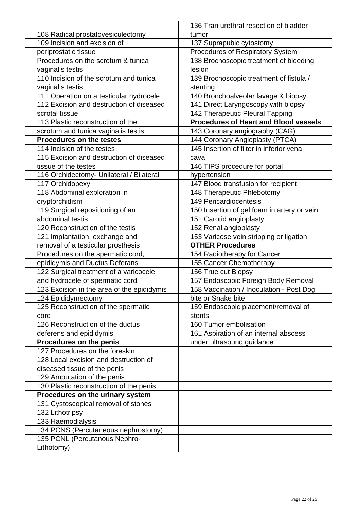|                                            | 136 Tran urethral resection of bladder       |
|--------------------------------------------|----------------------------------------------|
| 108 Radical prostatovesiculectomy          | tumor                                        |
| 109 Incision and excision of               | 137 Suprapubic cytostomy                     |
| periprostatic tissue                       | Procedures of Respiratory System             |
| Procedures on the scrotum & tunica         | 138 Brochoscopic treatment of bleeding       |
| vaginalis testis                           | lesion                                       |
| 110 Incision of the scrotum and tunica     | 139 Brochoscopic treatment of fistula /      |
| vaginalis testis                           | stenting                                     |
| 111 Operation on a testicular hydrocele    | 140 Bronchoalveolar lavage & biopsy          |
| 112 Excision and destruction of diseased   | 141 Direct Laryngoscopy with biopsy          |
| scrotal tissue                             | 142 Therapeutic Pleural Tapping              |
| 113 Plastic reconstruction of the          | <b>Procedures of Heart and Blood vessels</b> |
| scrotum and tunica vaginalis testis        | 143 Coronary angiography (CAG)               |
| <b>Procedures on the testes</b>            | 144 Coronary Angioplasty (PTCA)              |
| 114 Incision of the testes                 | 145 Insertion of filter in inferior vena     |
| 115 Excision and destruction of diseased   | cava                                         |
| tissue of the testes                       | 146 TIPS procedure for portal                |
| 116 Orchidectomy- Unilateral / Bilateral   | hypertension                                 |
| 117 Orchidopexy                            | 147 Blood transfusion for recipient          |
| 118 Abdominal exploration in               | 148 Therapeutic Phlebotomy                   |
| cryptorchidism                             | <b>149 Pericardiocentesis</b>                |
| 119 Surgical repositioning of an           | 150 Insertion of gel foam in artery or vein  |
| abdominal testis                           | 151 Carotid angioplasty                      |
| 120 Reconstruction of the testis           | 152 Renal angioplasty                        |
| 121 Implantation, exchange and             | 153 Varicose vein stripping or ligation      |
| removal of a testicular prosthesis         | <b>OTHER Procedures</b>                      |
| Procedures on the spermatic cord,          | 154 Radiotherapy for Cancer                  |
| epididymis and Ductus Deferans             | 155 Cancer Chemotherapy                      |
| 122 Surgical treatment of a varicocele     | 156 True cut Biopsy                          |
| and hydrocele of spermatic cord            | 157 Endoscopic Foreign Body Removal          |
| 123 Excision in the area of the epididymis | 158 Vaccination / Inoculation - Post Dog     |
| 124 Epididymectomy                         | bite or Snake bite                           |
| 125 Reconstruction of the spermatic        | 159 Endoscopic placement/removal of          |
| cord                                       | stents                                       |
| 126 Reconstruction of the ductus           | 160 Tumor embolisation                       |
| deferens and epididymis                    | 161 Aspiration of an internal abscess        |
| Procedures on the penis                    | under ultrasound guidance                    |
| 127 Procedures on the foreskin             |                                              |
| 128 Local excision and destruction of      |                                              |
| diseased tissue of the penis               |                                              |
| 129 Amputation of the penis                |                                              |
| 130 Plastic reconstruction of the penis    |                                              |
| Procedures on the urinary system           |                                              |
| 131 Cystoscopical removal of stones        |                                              |
| 132 Lithotripsy                            |                                              |
| 133 Haemodialysis                          |                                              |
| 134 PCNS (Percutaneous nephrostomy)        |                                              |
| 135 PCNL (Percutanous Nephro-              |                                              |
| Lithotomy)                                 |                                              |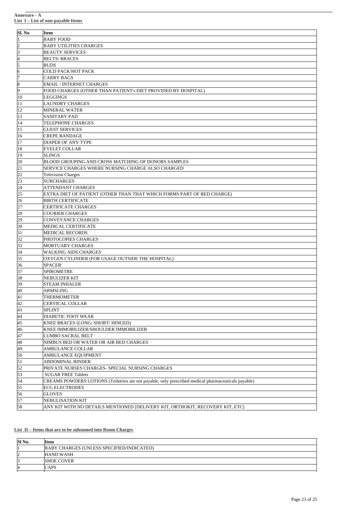| Sl. No                  | Item                                                                                                 |
|-------------------------|------------------------------------------------------------------------------------------------------|
| 1                       | <b>BABY FOOD</b>                                                                                     |
| $\overline{\mathbf{c}}$ | <b>BABY UTILITIES CHARGES</b>                                                                        |
| 3                       | <b>BEAUTY SERVICES</b>                                                                               |
| 4                       | <b>BELTS/BRACES</b>                                                                                  |
| 5                       | <b>BUDS</b>                                                                                          |
| 6                       | <b>COLD PACK/HOT PACK</b>                                                                            |
| 7                       | <b>CARRY BAGS</b>                                                                                    |
| 8                       | <b>EMAIL / INTERNET CHARGES</b>                                                                      |
| 9                       | FOOD CHARGES (OTHER THAN PATIENT's DIET PROVIDED BY HOSPITAL)                                        |
| 10                      | <b>LEGGINGS</b>                                                                                      |
| 11                      | <b>LAUNDRY CHARGES</b>                                                                               |
| 12                      | <b>MINERAL WATER</b>                                                                                 |
| 13                      | <b>SANITARY PAD</b>                                                                                  |
| 14                      | <b>TELEPHONE CHARGES</b>                                                                             |
| 15                      | <b>GUEST SERVICES</b>                                                                                |
| 16                      | <b>CREPE BANDAGE</b>                                                                                 |
| 17                      | <b>DIAPER OF ANY TYPE</b>                                                                            |
| 18                      | <b>EYELET COLLAR</b>                                                                                 |
| 19                      | <b>SLINGS</b>                                                                                        |
| 20                      | BLOOD GROUPING AND CROSS MATCHING OF DONORS SAMPLES                                                  |
| 21                      | SERVICE CHARGES WHERE NURSING CHARGE ALSO CHARGED                                                    |
| 22                      | <b>Television Charges</b>                                                                            |
| 23                      | <b>SURCHARGES</b>                                                                                    |
| 24                      | <b>ATTENDANT CHARGES</b>                                                                             |
| 25                      | EXTRA DIET OF PATIENT (OTHER THAN THAT WHICH FORMS PART OF BED CHARGE)                               |
| 26                      | <b>BIRTH CERTIFICATE</b>                                                                             |
| 27                      | <b>CERTIFICATE CHARGES</b>                                                                           |
| 28                      | <b>COURIER CHARGES</b>                                                                               |
| 29                      | <b>CONVEYANCE CHARGES</b>                                                                            |
| 30                      | MEDICAL CERTIFICATE                                                                                  |
| 31                      | <b>MEDICAL RECORDS</b>                                                                               |
| 32                      | PHOTOCOPIES CHARGES                                                                                  |
| 33                      | <b>MORTUARY CHARGES</b>                                                                              |
| 34                      | <b>WALKING AIDS CHARGES</b>                                                                          |
| 35                      | OXYGEN CYLINDER (FOR USAGE OUTSIDE THE HOSPITAL)                                                     |
| 36                      | <b>SPACER</b>                                                                                        |
| 37                      | <b>SPIROMETRE</b>                                                                                    |
| 38                      | NEBULIZER KIT                                                                                        |
| 39                      | <b>STEAM INHALER</b>                                                                                 |
| 40                      | ARMSLING                                                                                             |
| 41                      | THERMOMETER                                                                                          |
| 42                      | <b>CERVICAL COLLAR</b>                                                                               |
| 43                      | <b>SPLINT</b>                                                                                        |
| 44                      | DIABETIC FOOT WEAR                                                                                   |
| 45                      | KNEE BRACES (LONG/ SHORT/ HINGED)<br>KNEE IMMOBILIZER/SHOULDER IMMOBILIZER                           |
| 46                      | LUMBO SACRAL BELT                                                                                    |
| 47                      | NIMBUS BED OR WATER OR AIR BED CHARGES                                                               |
| 48<br>49                | <b>AMBULANCE COLLAR</b>                                                                              |
| 50                      | AMBULANCE EQUIPMENT                                                                                  |
| 51                      | <b>ABDOMINAL BINDER</b>                                                                              |
| 52                      | PRIVATE NURSES CHARGES- SPECIAL NURSING CHARGES                                                      |
| 53                      | <b>SUGAR FREE Tablets</b>                                                                            |
| 54                      | CREAMS POWDERS LOTIONS (Toiletries are not payable, only prescribed medical pharmaceuticals payable) |
| 55                      | <b>ECG ELECTRODES</b>                                                                                |
| 56                      | <b>GLOVES</b>                                                                                        |
| 57                      | NEBULISATION KIT                                                                                     |
| 58                      | ANY KIT WITH NO DETAILS MENTIONED [DELIVERY KIT, ORTHOKIT, RECOVERY KIT, ETC]                        |

# **List II – Items that are to be subsumed into Room Charges**

| SI No. | <b>I</b> tem                              |
|--------|-------------------------------------------|
|        | BABY CHARGES (UNLESS SPECIFIED/INDICATED) |
| 12     | <b>HAND WASH</b>                          |
|        | <b>SHOE COVER</b>                         |
| 14     | CAPS                                      |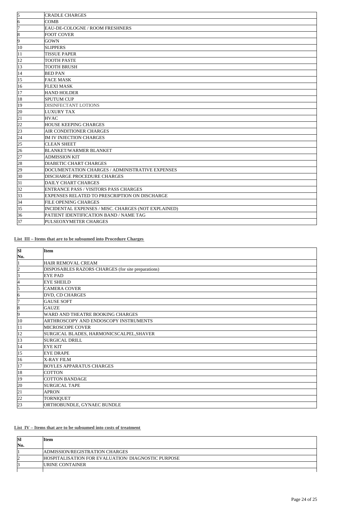| 5  | <b>CRADLE CHARGES</b>                               |
|----|-----------------------------------------------------|
| 6  | <b>COMB</b>                                         |
| 7  | EAU-DE-COLOGNE / ROOM FRESHNERS                     |
| 8  | <b>FOOT COVER</b>                                   |
| 9  | <b>GOWN</b>                                         |
| 10 | <b>SLIPPERS</b>                                     |
| 11 | <b>TISSUE PAPER</b>                                 |
| 12 | <b>TOOTH PASTE</b>                                  |
| 13 | <b>TOOTH BRUSH</b>                                  |
| 14 | <b>BED PAN</b>                                      |
| 15 | <b>FACE MASK</b>                                    |
| 16 | <b>FLEXI MASK</b>                                   |
| 17 | <b>HAND HOLDER</b>                                  |
| 18 | <b>SPUTUM CUP</b>                                   |
| 19 | <b>DISINFECTANT LOTIONS</b>                         |
| 20 | <b>LUXURY TAX</b>                                   |
| 21 | <b>HVAC</b>                                         |
| 22 | <b>HOUSE KEEPING CHARGES</b>                        |
| 23 | <b>AIR CONDITIONER CHARGES</b>                      |
| 24 | IM IV INJECTION CHARGES                             |
| 25 | <b>CLEAN SHEET</b>                                  |
| 26 | <b>BLANKET/WARMER BLANKET</b>                       |
| 27 | <b>ADMISSION KIT</b>                                |
| 28 | DIABETIC CHART CHARGES                              |
| 29 | DOCUMENTATION CHARGES / ADMINISTRATIVE EXPENSES     |
| 30 | <b>DISCHARGE PROCEDURE CHARGES</b>                  |
| 31 | DAILY CHART CHARGES                                 |
| 32 | <b>ENTRANCE PASS / VISITORS PASS CHARGES</b>        |
| 33 | EXPENSES RELATED TO PRESCRIPTION ON DISCHARGE       |
| 34 | <b>FILE OPENING CHARGES</b>                         |
| 35 | INCIDENTAL EXPENSES / MISC. CHARGES (NOT EXPLAINED) |
| 36 | PATIENT IDENTIFICATION BAND / NAME TAG              |
| 37 | PULSEOXYMETER CHARGES                               |

**List III – Items that are to be subsumed into Procedure Charges**

| <b>SI</b> | Item                                               |
|-----------|----------------------------------------------------|
| No.       |                                                    |
| I1        | HAIR REMOVAL CREAM                                 |
| 2         | DISPOSABLES RAZORS CHARGES (for site preparations) |
| 3         | <b>EYE PAD</b>                                     |
| 4         | <b>EYE SHEILD</b>                                  |
| 5         | <b>CAMERA COVER</b>                                |
| 16        | DVD, CD CHARGES                                    |
| 17        | <b>GAUSE SOFT</b>                                  |
| 8         | <b>GAUZE</b>                                       |
| 9         | WARD AND THEATRE BOOKING CHARGES                   |
| 10        | ARTHROSCOPY AND ENDOSCOPY INSTRUMENTS              |
| 11        | MICROSCOPE COVER                                   |
| 12        | SURGICAL BLADES, HARMONICSCALPEL, SHAVER           |
| 13        | <b>SURGICAL DRILL</b>                              |
| 14        | <b>EYE KIT</b>                                     |
| 15        | <b>EYE DRAPE</b>                                   |
| 16        | <b>X-RAY FILM</b>                                  |
| 17        | <b>BOYLES APPARATUS CHARGES</b>                    |
| 18        | <b>COTTON</b>                                      |
| 19        | <b>COTTON BANDAGE</b>                              |
| 20        | <b>SURGICAL TAPE</b>                               |
| 21        | <b>APRON</b>                                       |
| 22        | <b>TORNIQUET</b>                                   |
| 23        | ORTHOBUNDLE, GYNAEC BUNDLE                         |

**List IV – Items that are to be subsumed into costs of treatment**

| - 181 | ltem                                               |
|-------|----------------------------------------------------|
| No.   |                                                    |
|       | ADMISSION/REGISTRATION CHARGES                     |
|       | HOSPITALISATION FOR EVALUATION/ DIAGNOSTIC PURPOSE |
|       | <b>URINE CONTAINER</b>                             |
|       |                                                    |